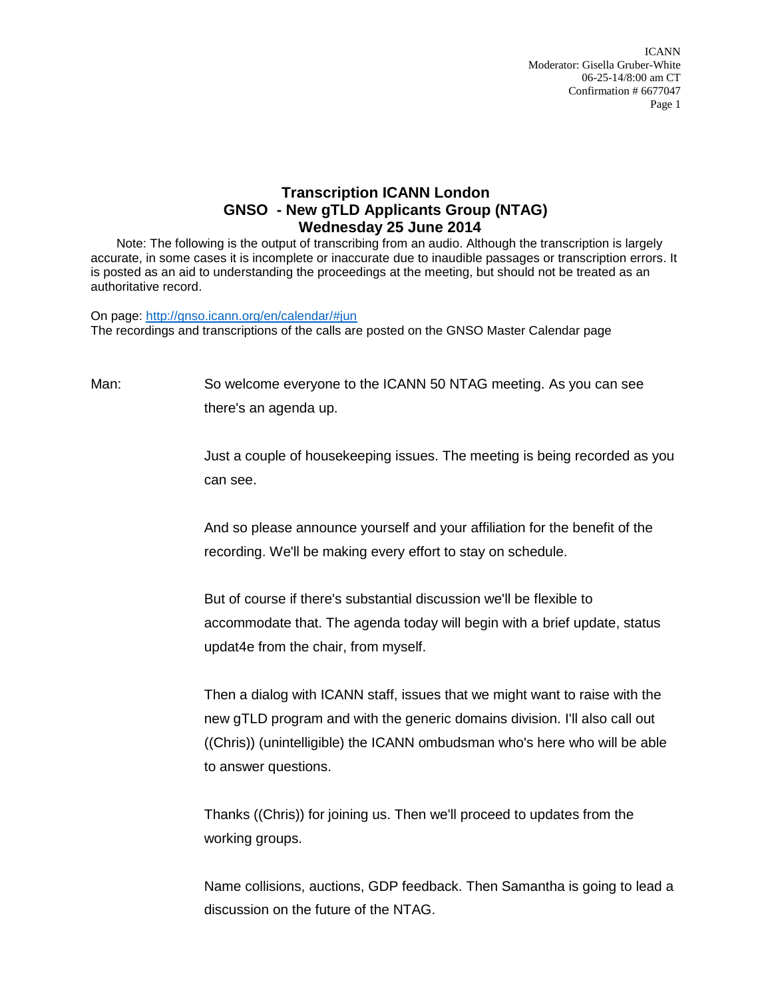ICANN Moderator: Gisella Gruber-White 06-25-14/8:00 am CT Confirmation # 6677047 Page 1

## **Transcription ICANN London GNSO - New gTLD Applicants Group (NTAG) Wednesday 25 June 2014**

Note: The following is the output of transcribing from an audio. Although the transcription is largely accurate, in some cases it is incomplete or inaccurate due to inaudible passages or transcription errors. It is posted as an aid to understanding the proceedings at the meeting, but should not be treated as an authoritative record.

On page:<http://gnso.icann.org/en/calendar/#jun> The recordings and transcriptions of the calls are posted on the GNSO Master Calendar page

Man: So welcome everyone to the ICANN 50 NTAG meeting. As you can see there's an agenda up.

> Just a couple of housekeeping issues. The meeting is being recorded as you can see.

And so please announce yourself and your affiliation for the benefit of the recording. We'll be making every effort to stay on schedule.

But of course if there's substantial discussion we'll be flexible to accommodate that. The agenda today will begin with a brief update, status updat4e from the chair, from myself.

Then a dialog with ICANN staff, issues that we might want to raise with the new gTLD program and with the generic domains division. I'll also call out ((Chris)) (unintelligible) the ICANN ombudsman who's here who will be able to answer questions.

Thanks ((Chris)) for joining us. Then we'll proceed to updates from the working groups.

Name collisions, auctions, GDP feedback. Then Samantha is going to lead a discussion on the future of the NTAG.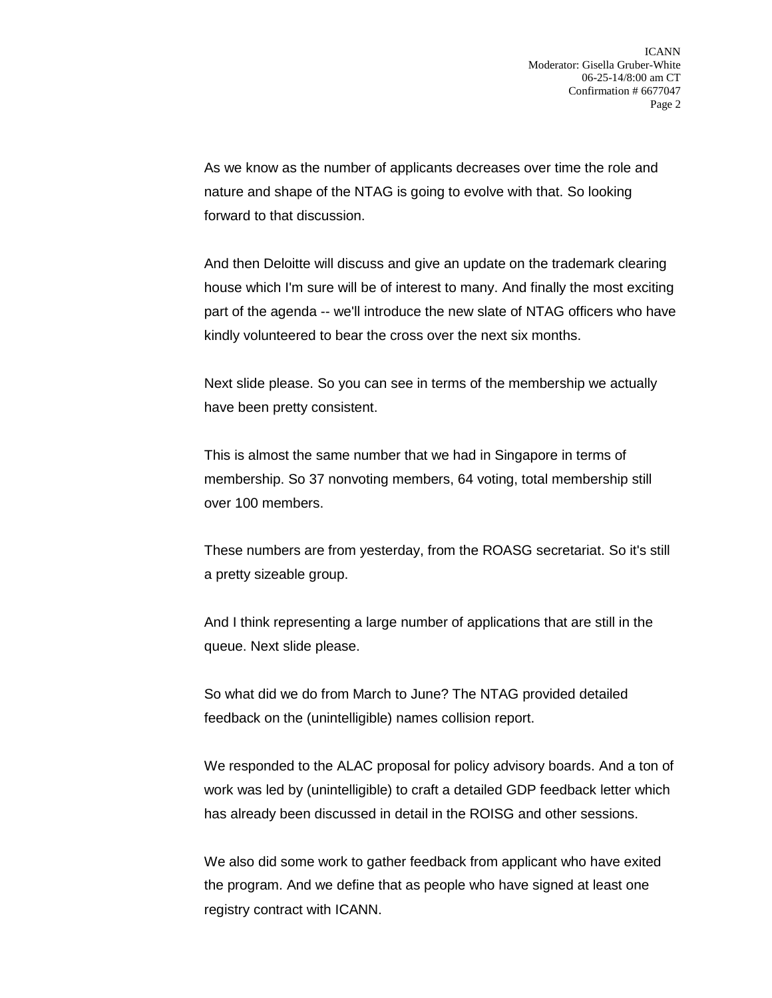As we know as the number of applicants decreases over time the role and nature and shape of the NTAG is going to evolve with that. So looking forward to that discussion.

And then Deloitte will discuss and give an update on the trademark clearing house which I'm sure will be of interest to many. And finally the most exciting part of the agenda -- we'll introduce the new slate of NTAG officers who have kindly volunteered to bear the cross over the next six months.

Next slide please. So you can see in terms of the membership we actually have been pretty consistent.

This is almost the same number that we had in Singapore in terms of membership. So 37 nonvoting members, 64 voting, total membership still over 100 members.

These numbers are from yesterday, from the ROASG secretariat. So it's still a pretty sizeable group.

And I think representing a large number of applications that are still in the queue. Next slide please.

So what did we do from March to June? The NTAG provided detailed feedback on the (unintelligible) names collision report.

We responded to the ALAC proposal for policy advisory boards. And a ton of work was led by (unintelligible) to craft a detailed GDP feedback letter which has already been discussed in detail in the ROISG and other sessions.

We also did some work to gather feedback from applicant who have exited the program. And we define that as people who have signed at least one registry contract with ICANN.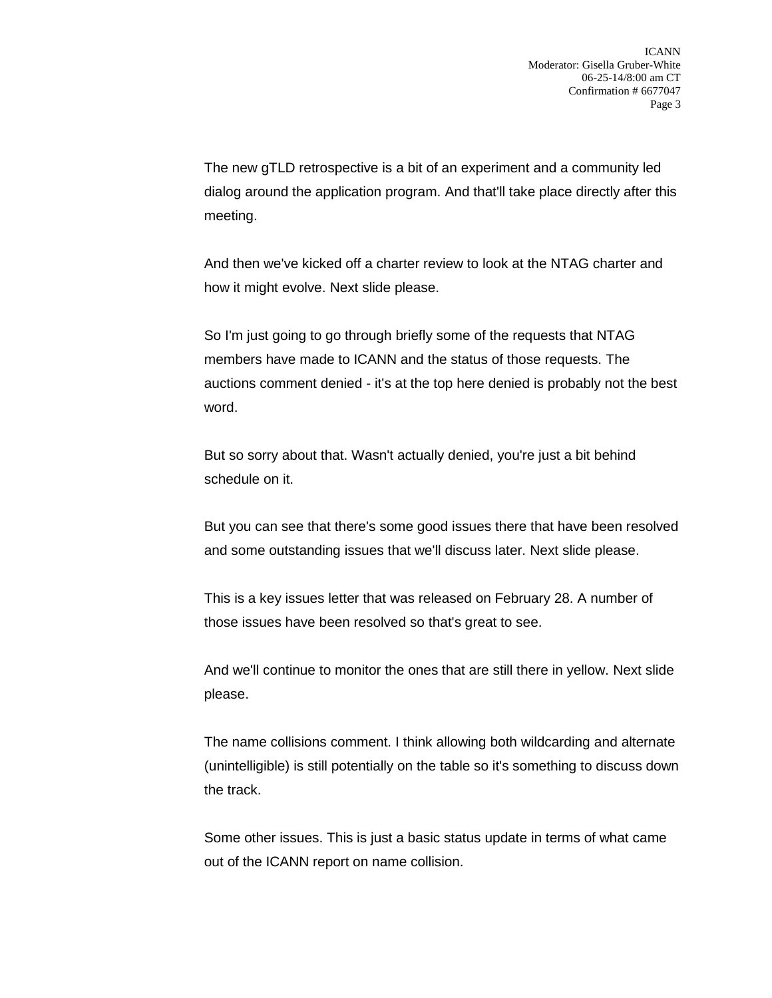The new gTLD retrospective is a bit of an experiment and a community led dialog around the application program. And that'll take place directly after this meeting.

And then we've kicked off a charter review to look at the NTAG charter and how it might evolve. Next slide please.

So I'm just going to go through briefly some of the requests that NTAG members have made to ICANN and the status of those requests. The auctions comment denied - it's at the top here denied is probably not the best word.

But so sorry about that. Wasn't actually denied, you're just a bit behind schedule on it.

But you can see that there's some good issues there that have been resolved and some outstanding issues that we'll discuss later. Next slide please.

This is a key issues letter that was released on February 28. A number of those issues have been resolved so that's great to see.

And we'll continue to monitor the ones that are still there in yellow. Next slide please.

The name collisions comment. I think allowing both wildcarding and alternate (unintelligible) is still potentially on the table so it's something to discuss down the track.

Some other issues. This is just a basic status update in terms of what came out of the ICANN report on name collision.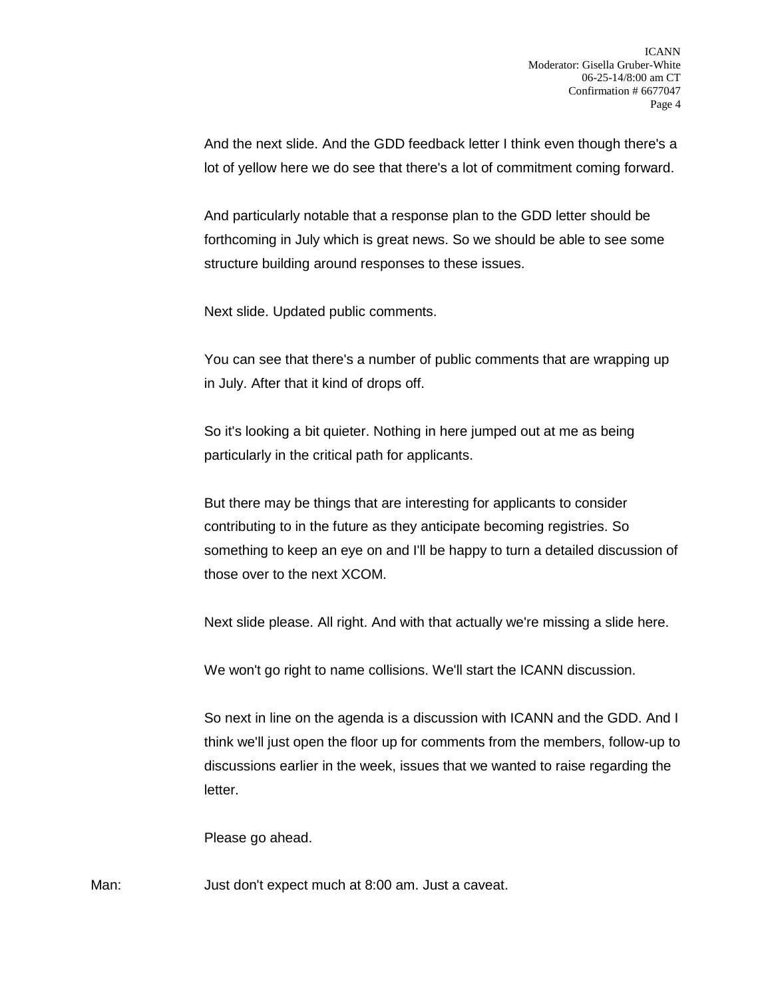And the next slide. And the GDD feedback letter I think even though there's a lot of yellow here we do see that there's a lot of commitment coming forward.

And particularly notable that a response plan to the GDD letter should be forthcoming in July which is great news. So we should be able to see some structure building around responses to these issues.

Next slide. Updated public comments.

You can see that there's a number of public comments that are wrapping up in July. After that it kind of drops off.

So it's looking a bit quieter. Nothing in here jumped out at me as being particularly in the critical path for applicants.

But there may be things that are interesting for applicants to consider contributing to in the future as they anticipate becoming registries. So something to keep an eye on and I'll be happy to turn a detailed discussion of those over to the next XCOM.

Next slide please. All right. And with that actually we're missing a slide here.

We won't go right to name collisions. We'll start the ICANN discussion.

So next in line on the agenda is a discussion with ICANN and the GDD. And I think we'll just open the floor up for comments from the members, follow-up to discussions earlier in the week, issues that we wanted to raise regarding the letter.

Please go ahead.

Man: Just don't expect much at 8:00 am. Just a caveat.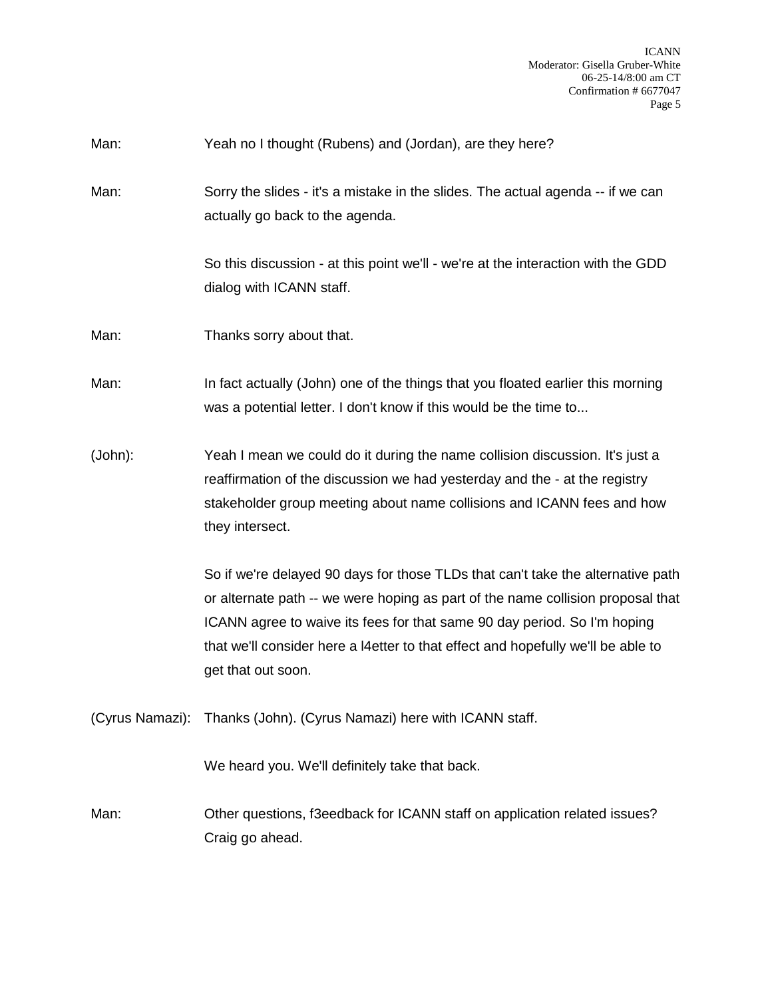- Man: Yeah no I thought (Rubens) and (Jordan), are they here?
- Man: Sorry the slides it's a mistake in the slides. The actual agenda -- if we can actually go back to the agenda.

So this discussion - at this point we'll - we're at the interaction with the GDD dialog with ICANN staff.

Man: Thanks sorry about that.

Man: In fact actually (John) one of the things that you floated earlier this morning was a potential letter. I don't know if this would be the time to...

(John): Yeah I mean we could do it during the name collision discussion. It's just a reaffirmation of the discussion we had yesterday and the - at the registry stakeholder group meeting about name collisions and ICANN fees and how they intersect.

> So if we're delayed 90 days for those TLDs that can't take the alternative path or alternate path -- we were hoping as part of the name collision proposal that ICANN agree to waive its fees for that same 90 day period. So I'm hoping that we'll consider here a l4etter to that effect and hopefully we'll be able to get that out soon.

(Cyrus Namazi): Thanks (John). (Cyrus Namazi) here with ICANN staff.

We heard you. We'll definitely take that back.

Man: Other questions, f3eedback for ICANN staff on application related issues? Craig go ahead.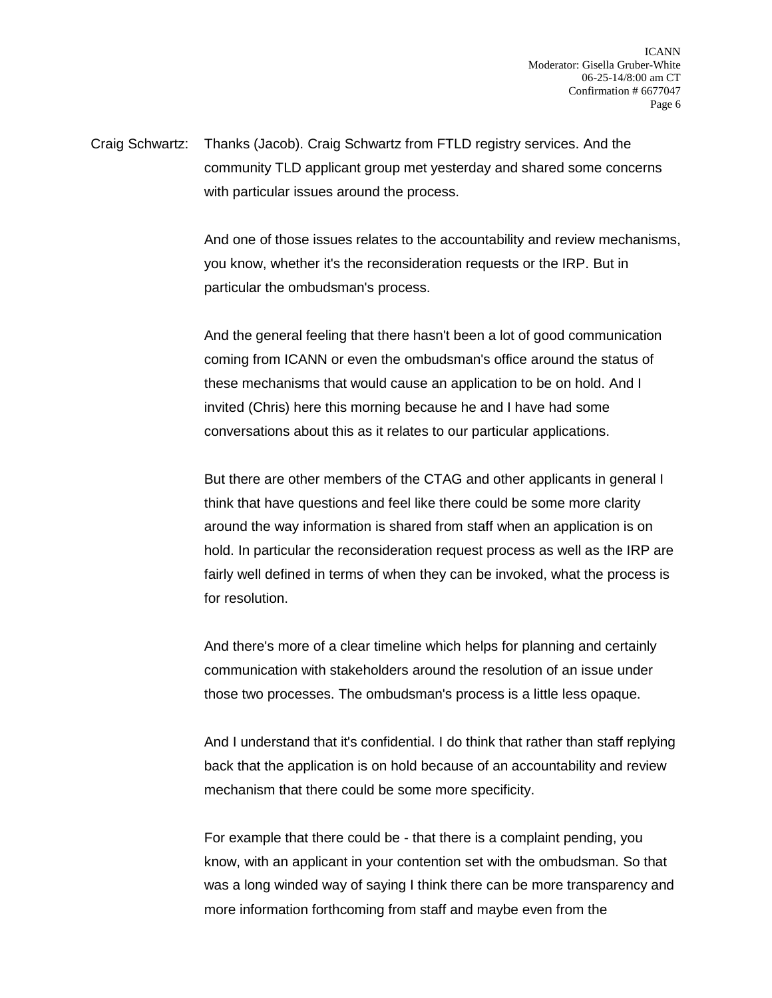Craig Schwartz: Thanks (Jacob). Craig Schwartz from FTLD registry services. And the community TLD applicant group met yesterday and shared some concerns with particular issues around the process.

> And one of those issues relates to the accountability and review mechanisms, you know, whether it's the reconsideration requests or the IRP. But in particular the ombudsman's process.

And the general feeling that there hasn't been a lot of good communication coming from ICANN or even the ombudsman's office around the status of these mechanisms that would cause an application to be on hold. And I invited (Chris) here this morning because he and I have had some conversations about this as it relates to our particular applications.

But there are other members of the CTAG and other applicants in general I think that have questions and feel like there could be some more clarity around the way information is shared from staff when an application is on hold. In particular the reconsideration request process as well as the IRP are fairly well defined in terms of when they can be invoked, what the process is for resolution.

And there's more of a clear timeline which helps for planning and certainly communication with stakeholders around the resolution of an issue under those two processes. The ombudsman's process is a little less opaque.

And I understand that it's confidential. I do think that rather than staff replying back that the application is on hold because of an accountability and review mechanism that there could be some more specificity.

For example that there could be - that there is a complaint pending, you know, with an applicant in your contention set with the ombudsman. So that was a long winded way of saying I think there can be more transparency and more information forthcoming from staff and maybe even from the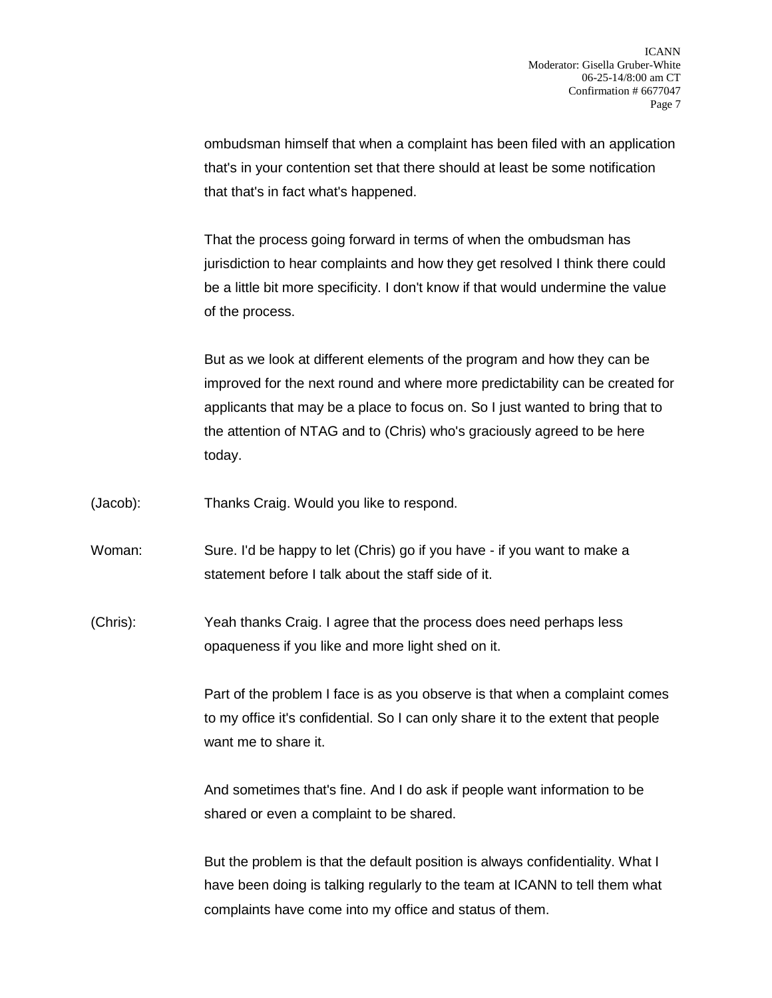ombudsman himself that when a complaint has been filed with an application that's in your contention set that there should at least be some notification that that's in fact what's happened.

That the process going forward in terms of when the ombudsman has jurisdiction to hear complaints and how they get resolved I think there could be a little bit more specificity. I don't know if that would undermine the value of the process.

But as we look at different elements of the program and how they can be improved for the next round and where more predictability can be created for applicants that may be a place to focus on. So I just wanted to bring that to the attention of NTAG and to (Chris) who's graciously agreed to be here today.

(Jacob): Thanks Craig. Would you like to respond.

Woman: Sure. I'd be happy to let (Chris) go if you have - if you want to make a statement before I talk about the staff side of it.

(Chris): Yeah thanks Craig. I agree that the process does need perhaps less opaqueness if you like and more light shed on it.

> Part of the problem I face is as you observe is that when a complaint comes to my office it's confidential. So I can only share it to the extent that people want me to share it.

And sometimes that's fine. And I do ask if people want information to be shared or even a complaint to be shared.

But the problem is that the default position is always confidentiality. What I have been doing is talking regularly to the team at ICANN to tell them what complaints have come into my office and status of them.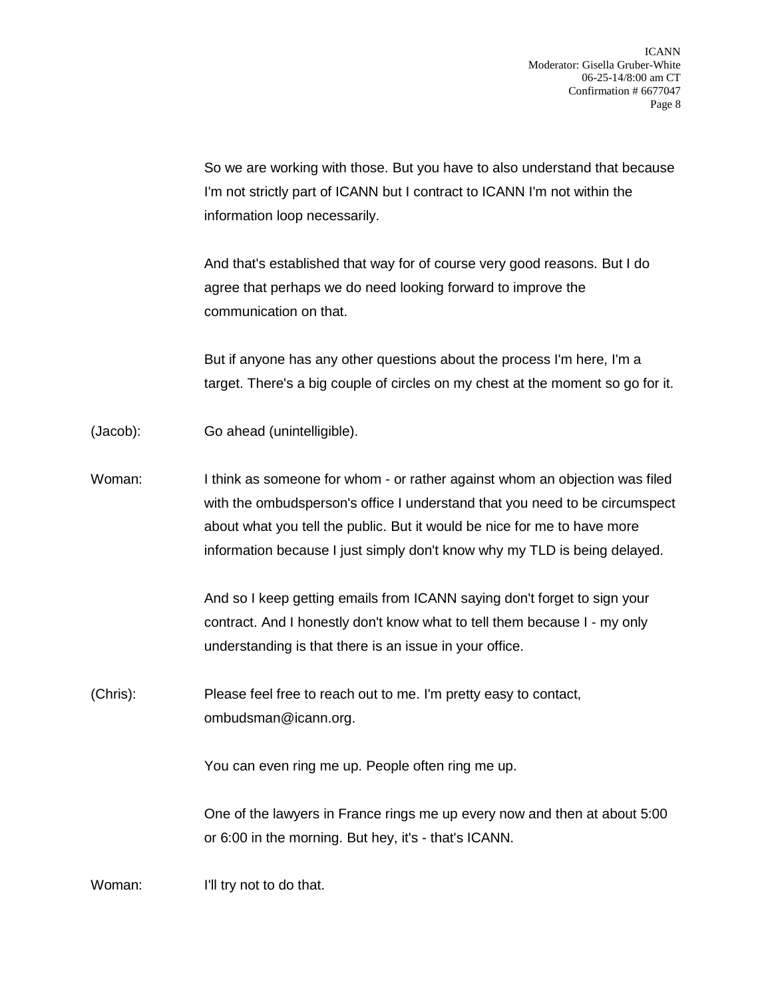So we are working with those. But you have to also understand that because I'm not strictly part of ICANN but I contract to ICANN I'm not within the information loop necessarily.

And that's established that way for of course very good reasons. But I do agree that perhaps we do need looking forward to improve the communication on that.

But if anyone has any other questions about the process I'm here, I'm a target. There's a big couple of circles on my chest at the moment so go for it.

- (Jacob): Go ahead (unintelligible).
- Woman: I think as someone for whom or rather against whom an objection was filed with the ombudsperson's office I understand that you need to be circumspect about what you tell the public. But it would be nice for me to have more information because I just simply don't know why my TLD is being delayed.

And so I keep getting emails from ICANN saying don't forget to sign your contract. And I honestly don't know what to tell them because I - my only understanding is that there is an issue in your office.

(Chris): Please feel free to reach out to me. I'm pretty easy to contact, ombudsman@icann.org.

You can even ring me up. People often ring me up.

One of the lawyers in France rings me up every now and then at about 5:00 or 6:00 in the morning. But hey, it's - that's ICANN.

Woman: I'll try not to do that.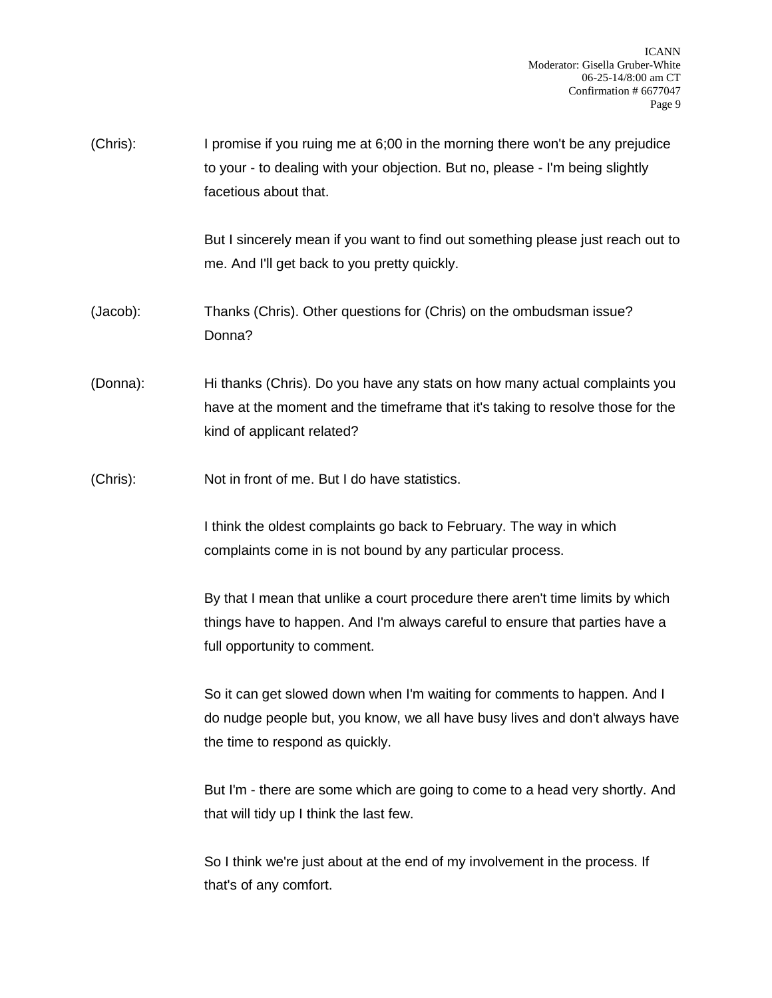(Chris): I promise if you ruing me at 6;00 in the morning there won't be any prejudice to your - to dealing with your objection. But no, please - I'm being slightly facetious about that.

> But I sincerely mean if you want to find out something please just reach out to me. And I'll get back to you pretty quickly.

- (Jacob): Thanks (Chris). Other questions for (Chris) on the ombudsman issue? Donna?
- (Donna): Hi thanks (Chris). Do you have any stats on how many actual complaints you have at the moment and the timeframe that it's taking to resolve those for the kind of applicant related?
- (Chris): Not in front of me. But I do have statistics.

I think the oldest complaints go back to February. The way in which complaints come in is not bound by any particular process.

By that I mean that unlike a court procedure there aren't time limits by which things have to happen. And I'm always careful to ensure that parties have a full opportunity to comment.

So it can get slowed down when I'm waiting for comments to happen. And I do nudge people but, you know, we all have busy lives and don't always have the time to respond as quickly.

But I'm - there are some which are going to come to a head very shortly. And that will tidy up I think the last few.

So I think we're just about at the end of my involvement in the process. If that's of any comfort.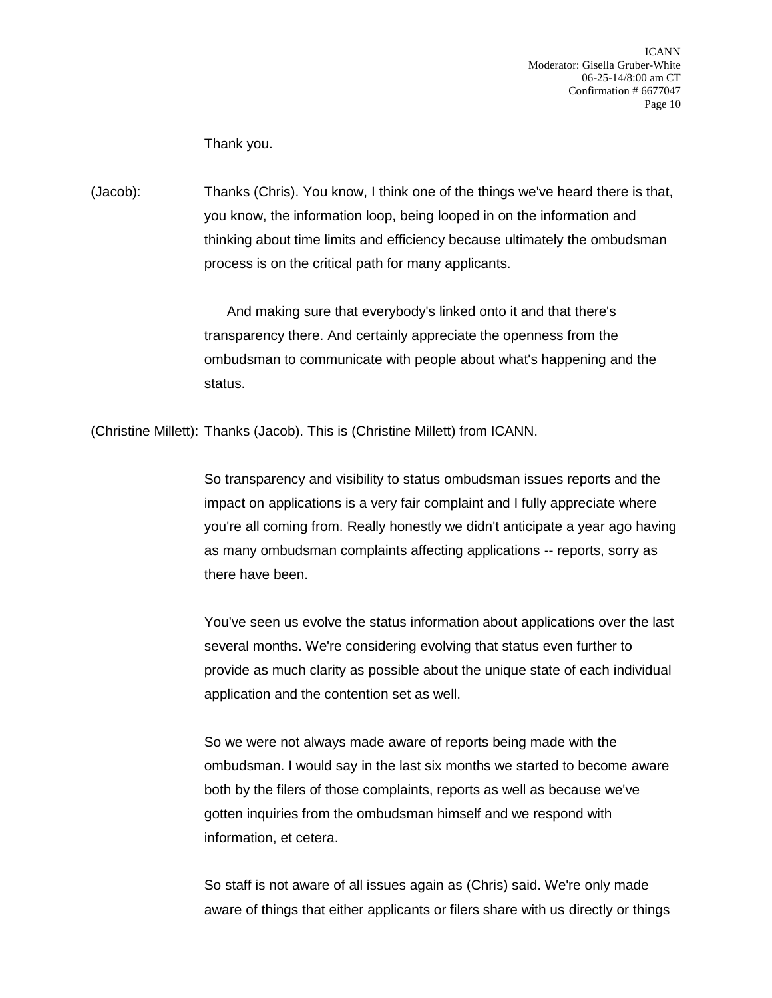ICANN Moderator: Gisella Gruber-White 06-25-14/8:00 am CT Confirmation # 6677047 Page 10

Thank you.

(Jacob): Thanks (Chris). You know, I think one of the things we've heard there is that, you know, the information loop, being looped in on the information and thinking about time limits and efficiency because ultimately the ombudsman process is on the critical path for many applicants.

> And making sure that everybody's linked onto it and that there's transparency there. And certainly appreciate the openness from the ombudsman to communicate with people about what's happening and the status.

(Christine Millett): Thanks (Jacob). This is (Christine Millett) from ICANN.

So transparency and visibility to status ombudsman issues reports and the impact on applications is a very fair complaint and I fully appreciate where you're all coming from. Really honestly we didn't anticipate a year ago having as many ombudsman complaints affecting applications -- reports, sorry as there have been.

You've seen us evolve the status information about applications over the last several months. We're considering evolving that status even further to provide as much clarity as possible about the unique state of each individual application and the contention set as well.

So we were not always made aware of reports being made with the ombudsman. I would say in the last six months we started to become aware both by the filers of those complaints, reports as well as because we've gotten inquiries from the ombudsman himself and we respond with information, et cetera.

So staff is not aware of all issues again as (Chris) said. We're only made aware of things that either applicants or filers share with us directly or things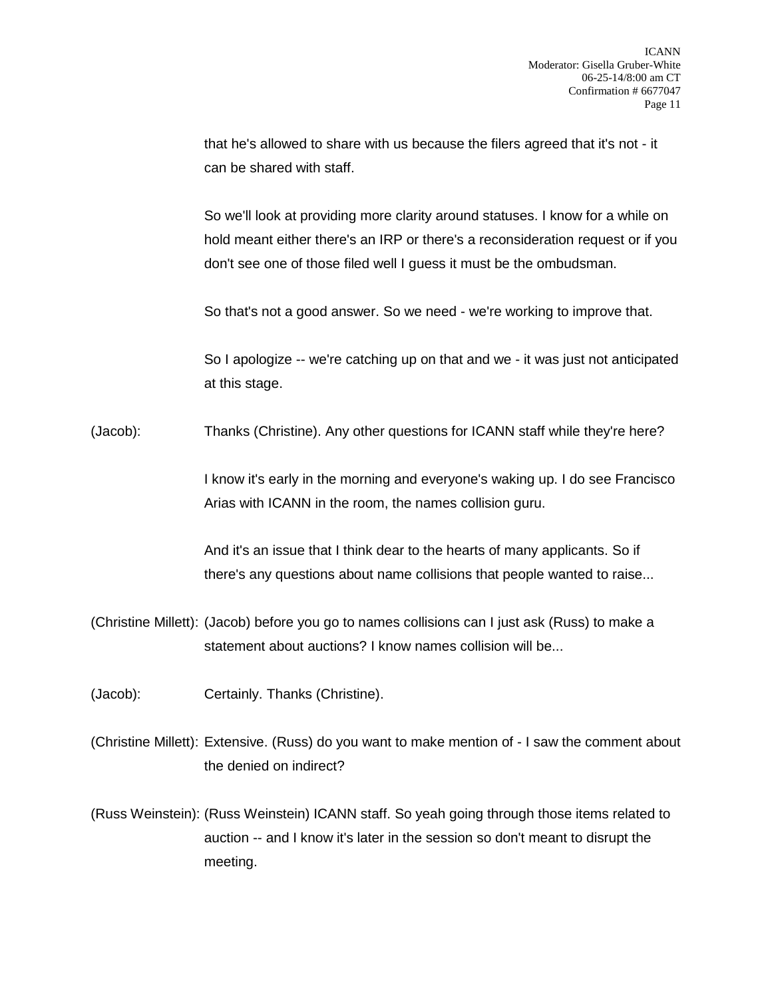that he's allowed to share with us because the filers agreed that it's not - it can be shared with staff.

So we'll look at providing more clarity around statuses. I know for a while on hold meant either there's an IRP or there's a reconsideration request or if you don't see one of those filed well I guess it must be the ombudsman.

So that's not a good answer. So we need - we're working to improve that.

So I apologize -- we're catching up on that and we - it was just not anticipated at this stage.

(Jacob): Thanks (Christine). Any other questions for ICANN staff while they're here?

I know it's early in the morning and everyone's waking up. I do see Francisco Arias with ICANN in the room, the names collision guru.

And it's an issue that I think dear to the hearts of many applicants. So if there's any questions about name collisions that people wanted to raise...

(Christine Millett): (Jacob) before you go to names collisions can I just ask (Russ) to make a statement about auctions? I know names collision will be...

(Jacob): Certainly. Thanks (Christine).

(Christine Millett): Extensive. (Russ) do you want to make mention of - I saw the comment about the denied on indirect?

(Russ Weinstein): (Russ Weinstein) ICANN staff. So yeah going through those items related to auction -- and I know it's later in the session so don't meant to disrupt the meeting.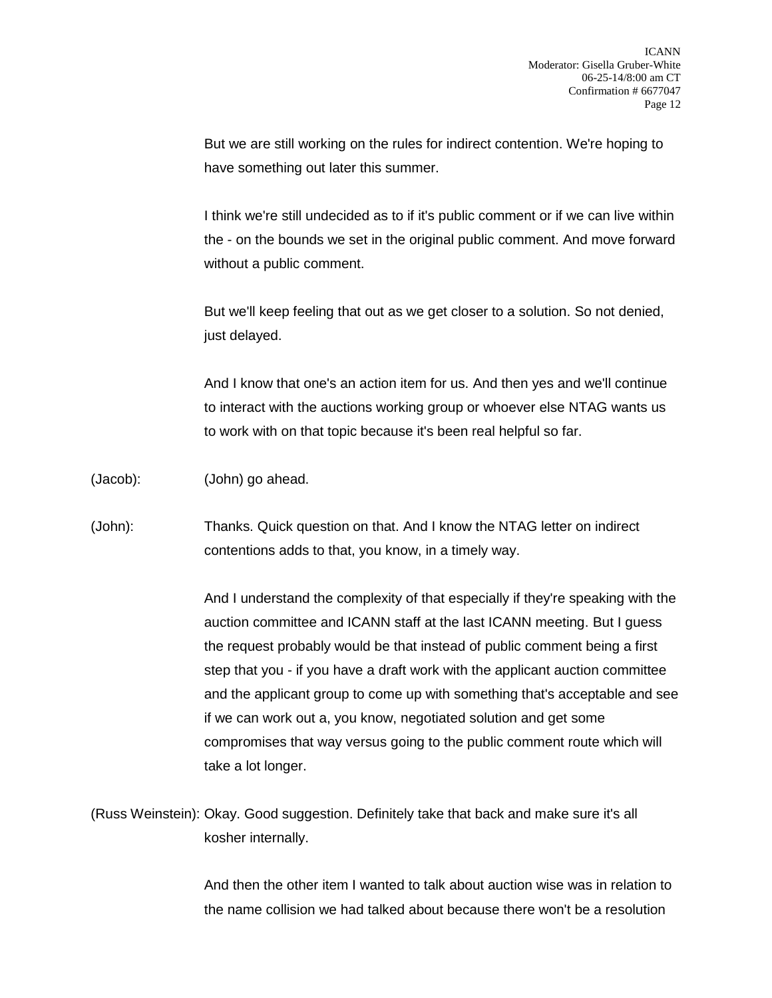But we are still working on the rules for indirect contention. We're hoping to have something out later this summer.

I think we're still undecided as to if it's public comment or if we can live within the - on the bounds we set in the original public comment. And move forward without a public comment.

But we'll keep feeling that out as we get closer to a solution. So not denied, just delayed.

And I know that one's an action item for us. And then yes and we'll continue to interact with the auctions working group or whoever else NTAG wants us to work with on that topic because it's been real helpful so far.

(Jacob): (John) go ahead.

(John): Thanks. Quick question on that. And I know the NTAG letter on indirect contentions adds to that, you know, in a timely way.

> And I understand the complexity of that especially if they're speaking with the auction committee and ICANN staff at the last ICANN meeting. But I guess the request probably would be that instead of public comment being a first step that you - if you have a draft work with the applicant auction committee and the applicant group to come up with something that's acceptable and see if we can work out a, you know, negotiated solution and get some compromises that way versus going to the public comment route which will take a lot longer.

(Russ Weinstein): Okay. Good suggestion. Definitely take that back and make sure it's all kosher internally.

> And then the other item I wanted to talk about auction wise was in relation to the name collision we had talked about because there won't be a resolution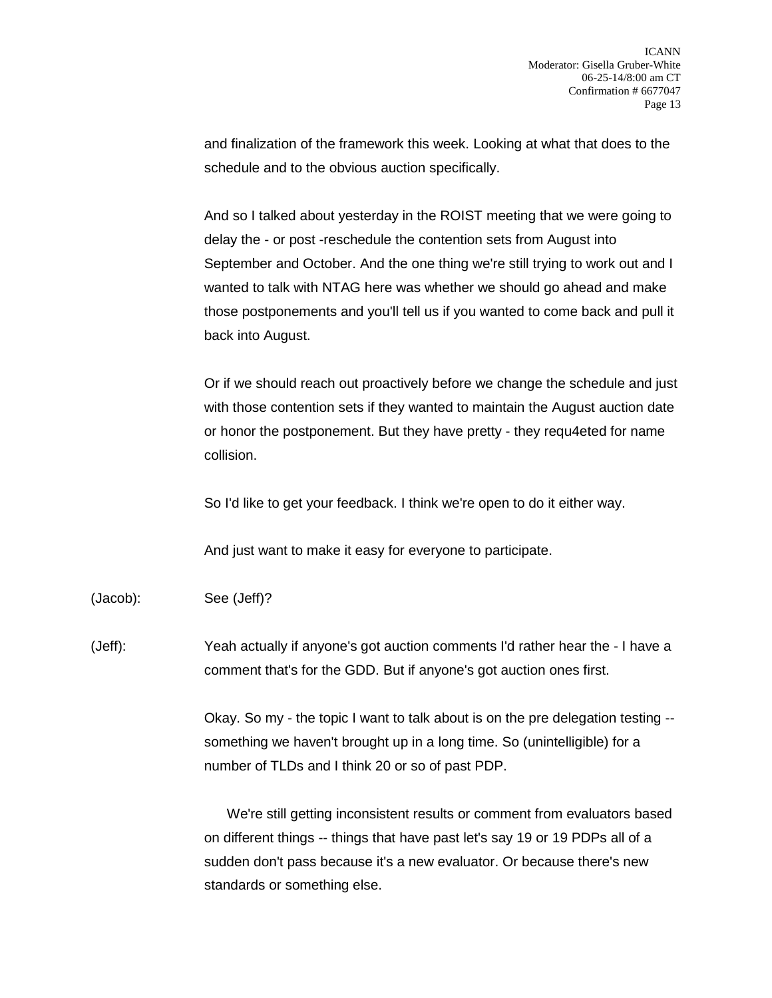and finalization of the framework this week. Looking at what that does to the schedule and to the obvious auction specifically.

And so I talked about yesterday in the ROIST meeting that we were going to delay the - or post -reschedule the contention sets from August into September and October. And the one thing we're still trying to work out and I wanted to talk with NTAG here was whether we should go ahead and make those postponements and you'll tell us if you wanted to come back and pull it back into August.

Or if we should reach out proactively before we change the schedule and just with those contention sets if they wanted to maintain the August auction date or honor the postponement. But they have pretty - they requ4eted for name collision.

So I'd like to get your feedback. I think we're open to do it either way.

And just want to make it easy for everyone to participate.

(Jacob): See (Jeff)?

(Jeff): Yeah actually if anyone's got auction comments I'd rather hear the - I have a comment that's for the GDD. But if anyone's got auction ones first.

> Okay. So my - the topic I want to talk about is on the pre delegation testing - something we haven't brought up in a long time. So (unintelligible) for a number of TLDs and I think 20 or so of past PDP.

> We're still getting inconsistent results or comment from evaluators based on different things -- things that have past let's say 19 or 19 PDPs all of a sudden don't pass because it's a new evaluator. Or because there's new standards or something else.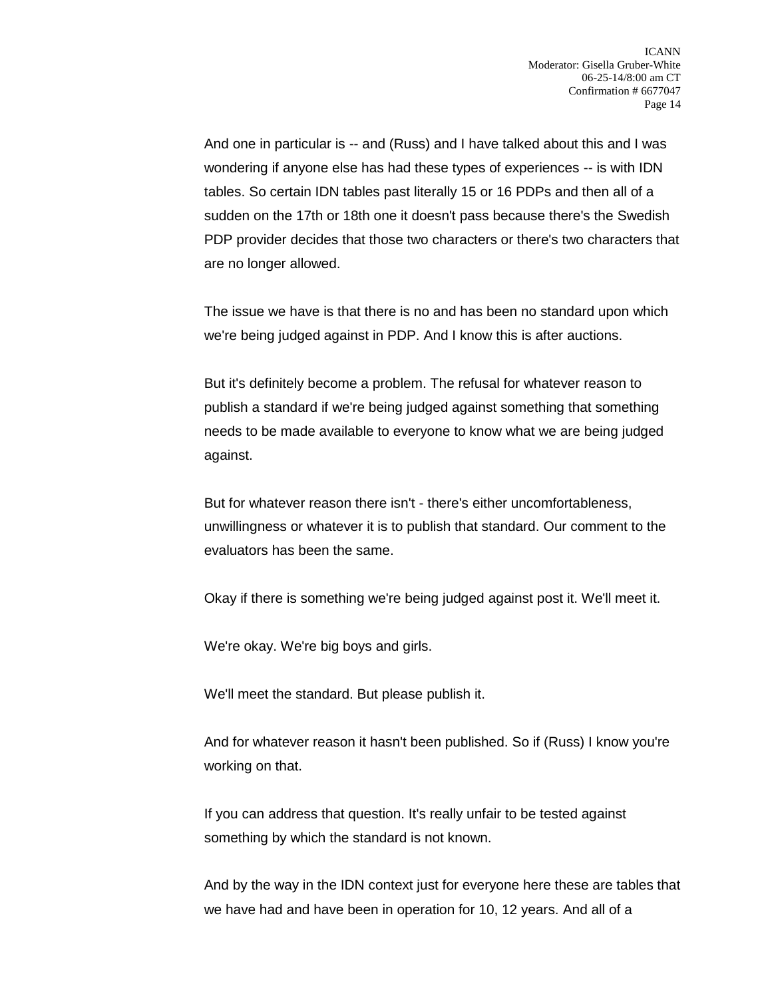And one in particular is -- and (Russ) and I have talked about this and I was wondering if anyone else has had these types of experiences -- is with IDN tables. So certain IDN tables past literally 15 or 16 PDPs and then all of a sudden on the 17th or 18th one it doesn't pass because there's the Swedish PDP provider decides that those two characters or there's two characters that are no longer allowed.

The issue we have is that there is no and has been no standard upon which we're being judged against in PDP. And I know this is after auctions.

But it's definitely become a problem. The refusal for whatever reason to publish a standard if we're being judged against something that something needs to be made available to everyone to know what we are being judged against.

But for whatever reason there isn't - there's either uncomfortableness, unwillingness or whatever it is to publish that standard. Our comment to the evaluators has been the same.

Okay if there is something we're being judged against post it. We'll meet it.

We're okay. We're big boys and girls.

We'll meet the standard. But please publish it.

And for whatever reason it hasn't been published. So if (Russ) I know you're working on that.

If you can address that question. It's really unfair to be tested against something by which the standard is not known.

And by the way in the IDN context just for everyone here these are tables that we have had and have been in operation for 10, 12 years. And all of a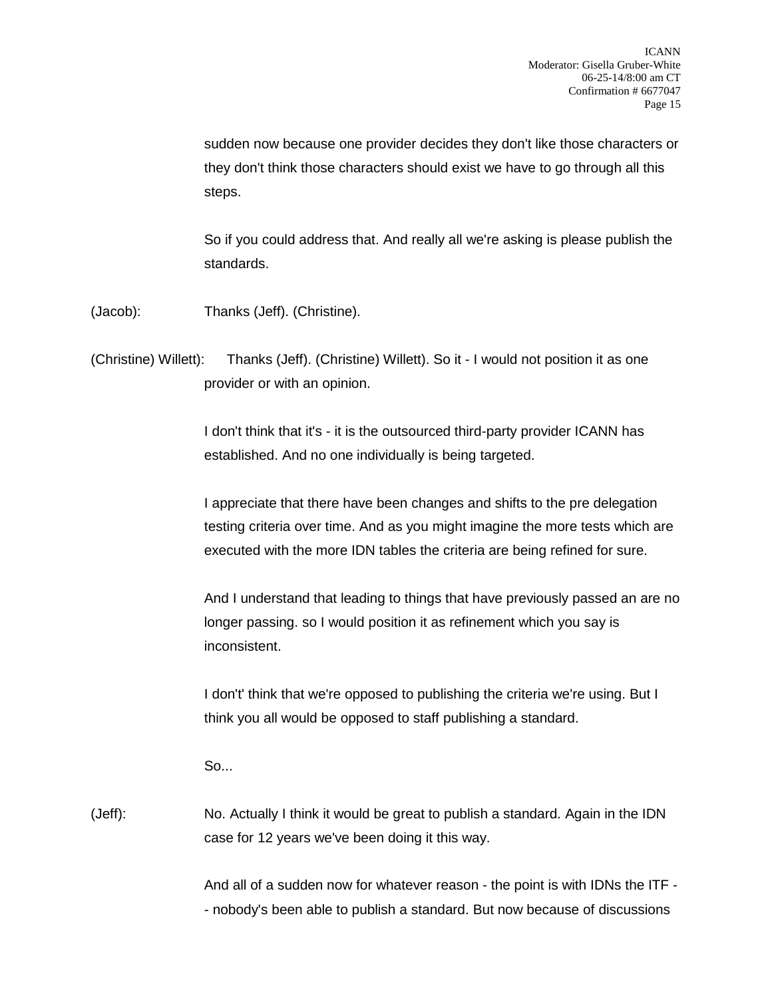sudden now because one provider decides they don't like those characters or they don't think those characters should exist we have to go through all this steps.

So if you could address that. And really all we're asking is please publish the standards.

(Jacob): Thanks (Jeff). (Christine).

(Christine) Willett): Thanks (Jeff). (Christine) Willett). So it - I would not position it as one provider or with an opinion.

> I don't think that it's - it is the outsourced third-party provider ICANN has established. And no one individually is being targeted.

I appreciate that there have been changes and shifts to the pre delegation testing criteria over time. And as you might imagine the more tests which are executed with the more IDN tables the criteria are being refined for sure.

And I understand that leading to things that have previously passed an are no longer passing. so I would position it as refinement which you say is inconsistent.

I don't' think that we're opposed to publishing the criteria we're using. But I think you all would be opposed to staff publishing a standard.

 $S<sub>0</sub>$ 

(Jeff): No. Actually I think it would be great to publish a standard. Again in the IDN case for 12 years we've been doing it this way.

> And all of a sudden now for whatever reason - the point is with IDNs the ITF - - nobody's been able to publish a standard. But now because of discussions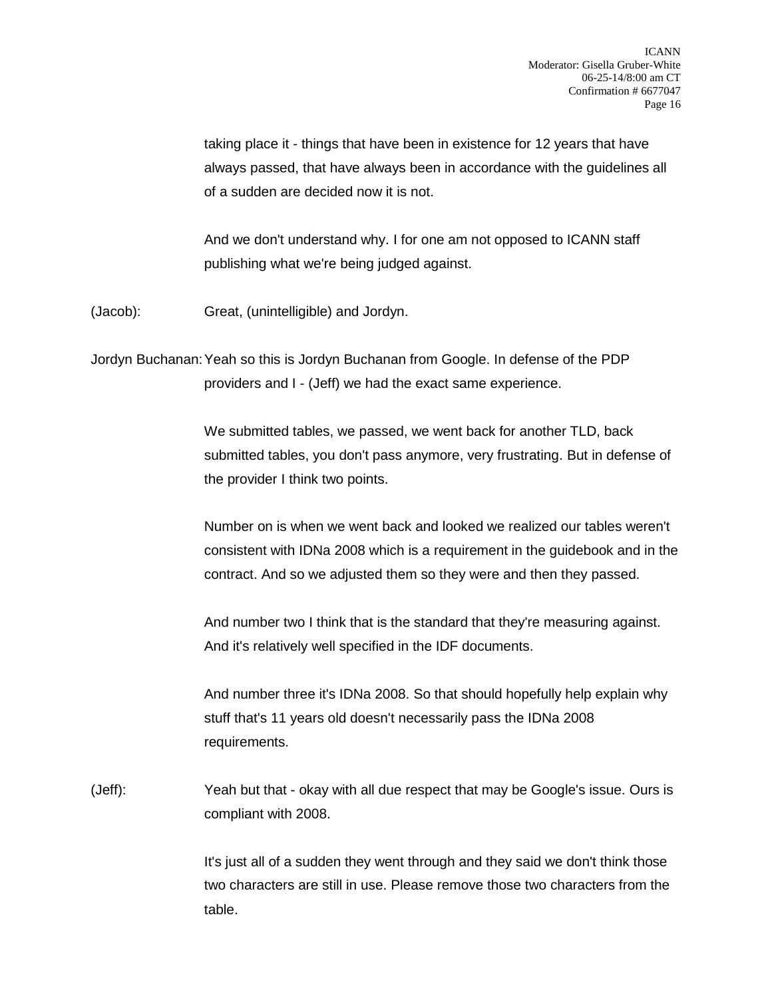taking place it - things that have been in existence for 12 years that have always passed, that have always been in accordance with the guidelines all of a sudden are decided now it is not.

And we don't understand why. I for one am not opposed to ICANN staff publishing what we're being judged against.

(Jacob): Great, (unintelligible) and Jordyn.

Jordyn Buchanan:Yeah so this is Jordyn Buchanan from Google. In defense of the PDP providers and I - (Jeff) we had the exact same experience.

> We submitted tables, we passed, we went back for another TLD, back submitted tables, you don't pass anymore, very frustrating. But in defense of the provider I think two points.

Number on is when we went back and looked we realized our tables weren't consistent with IDNa 2008 which is a requirement in the guidebook and in the contract. And so we adjusted them so they were and then they passed.

And number two I think that is the standard that they're measuring against. And it's relatively well specified in the IDF documents.

And number three it's IDNa 2008. So that should hopefully help explain why stuff that's 11 years old doesn't necessarily pass the IDNa 2008 requirements.

(Jeff): Yeah but that - okay with all due respect that may be Google's issue. Ours is compliant with 2008.

> It's just all of a sudden they went through and they said we don't think those two characters are still in use. Please remove those two characters from the table.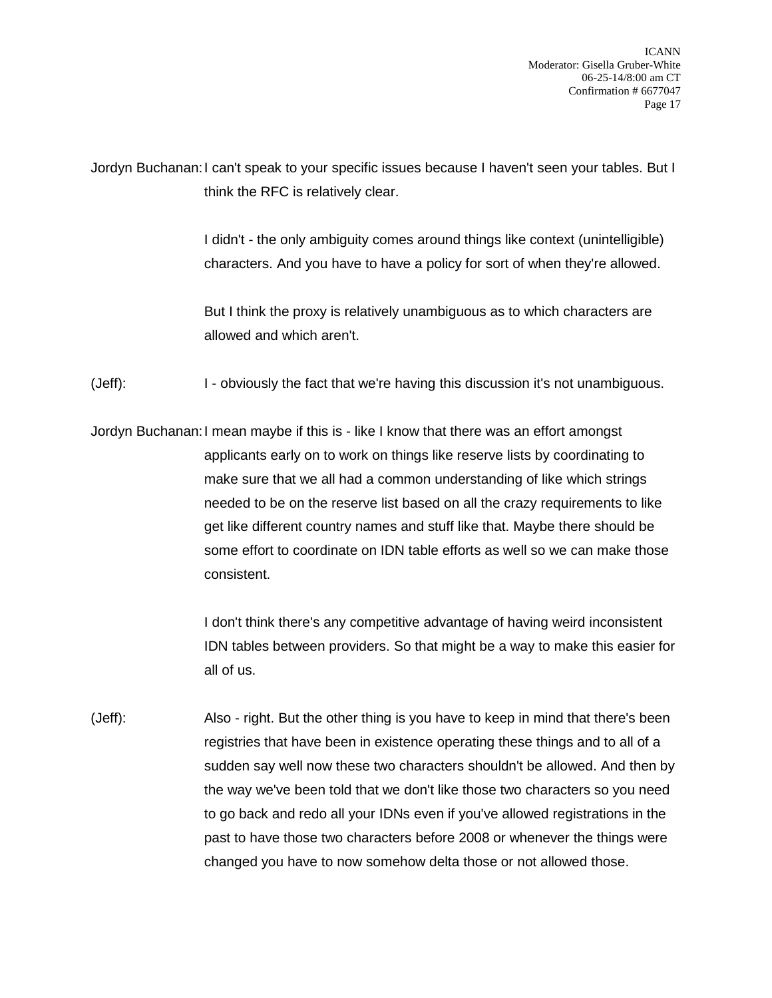Jordyn Buchanan:I can't speak to your specific issues because I haven't seen your tables. But I think the RFC is relatively clear.

> I didn't - the only ambiguity comes around things like context (unintelligible) characters. And you have to have a policy for sort of when they're allowed.

But I think the proxy is relatively unambiguous as to which characters are allowed and which aren't.

(Jeff): I - obviously the fact that we're having this discussion it's not unambiguous.

Jordyn Buchanan:I mean maybe if this is - like I know that there was an effort amongst applicants early on to work on things like reserve lists by coordinating to make sure that we all had a common understanding of like which strings needed to be on the reserve list based on all the crazy requirements to like get like different country names and stuff like that. Maybe there should be some effort to coordinate on IDN table efforts as well so we can make those consistent.

> I don't think there's any competitive advantage of having weird inconsistent IDN tables between providers. So that might be a way to make this easier for all of us.

(Jeff): Also - right. But the other thing is you have to keep in mind that there's been registries that have been in existence operating these things and to all of a sudden say well now these two characters shouldn't be allowed. And then by the way we've been told that we don't like those two characters so you need to go back and redo all your IDNs even if you've allowed registrations in the past to have those two characters before 2008 or whenever the things were changed you have to now somehow delta those or not allowed those.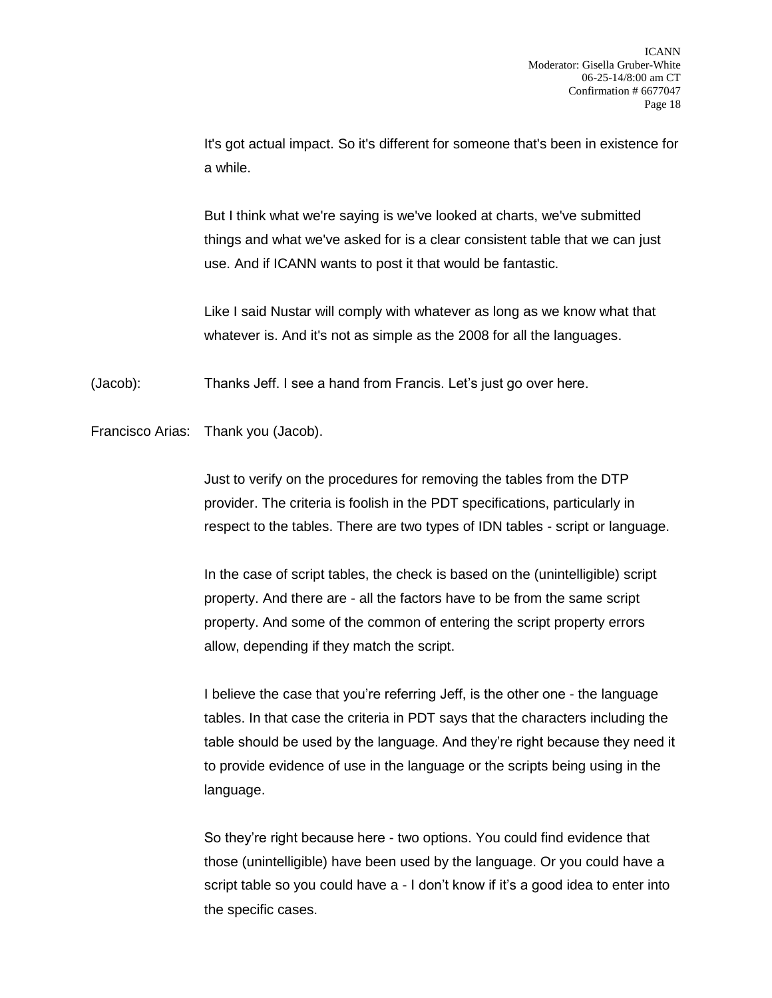It's got actual impact. So it's different for someone that's been in existence for a while.

But I think what we're saying is we've looked at charts, we've submitted things and what we've asked for is a clear consistent table that we can just use. And if ICANN wants to post it that would be fantastic.

Like I said Nustar will comply with whatever as long as we know what that whatever is. And it's not as simple as the 2008 for all the languages.

(Jacob): Thanks Jeff. I see a hand from Francis. Let's just go over here.

Francisco Arias: Thank you (Jacob).

Just to verify on the procedures for removing the tables from the DTP provider. The criteria is foolish in the PDT specifications, particularly in respect to the tables. There are two types of IDN tables - script or language.

In the case of script tables, the check is based on the (unintelligible) script property. And there are - all the factors have to be from the same script property. And some of the common of entering the script property errors allow, depending if they match the script.

I believe the case that you're referring Jeff, is the other one - the language tables. In that case the criteria in PDT says that the characters including the table should be used by the language. And they're right because they need it to provide evidence of use in the language or the scripts being using in the language.

So they're right because here - two options. You could find evidence that those (unintelligible) have been used by the language. Or you could have a script table so you could have a - I don't know if it's a good idea to enter into the specific cases.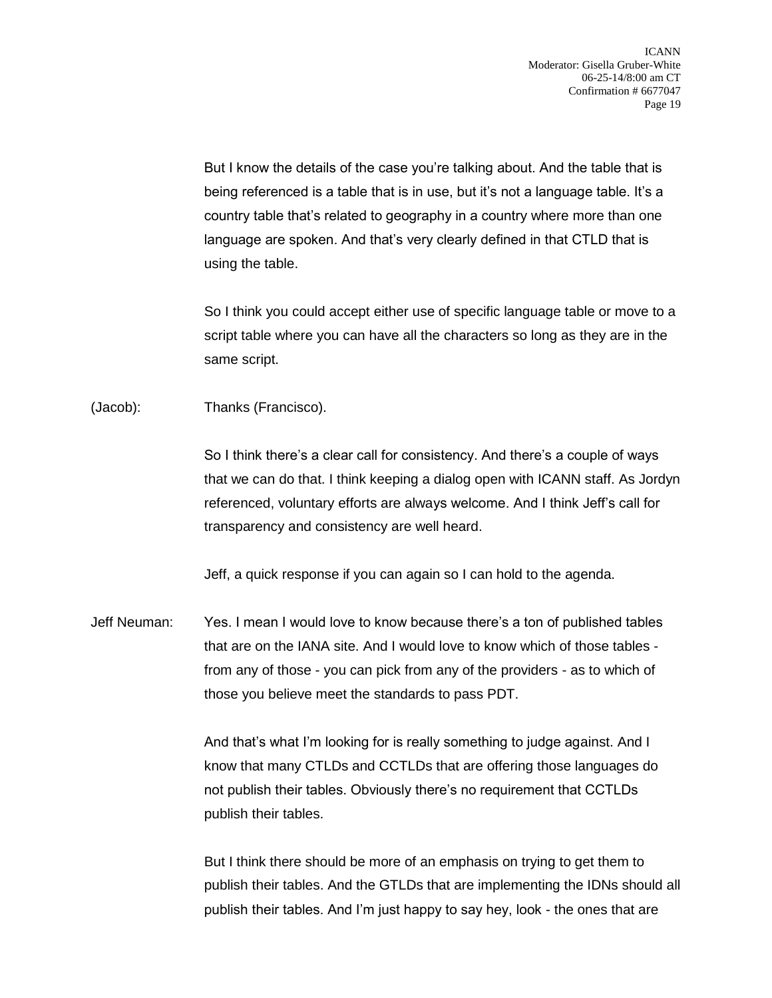But I know the details of the case you're talking about. And the table that is being referenced is a table that is in use, but it's not a language table. It's a country table that's related to geography in a country where more than one language are spoken. And that's very clearly defined in that CTLD that is using the table.

So I think you could accept either use of specific language table or move to a script table where you can have all the characters so long as they are in the same script.

(Jacob): Thanks (Francisco).

So I think there's a clear call for consistency. And there's a couple of ways that we can do that. I think keeping a dialog open with ICANN staff. As Jordyn referenced, voluntary efforts are always welcome. And I think Jeff's call for transparency and consistency are well heard.

Jeff, a quick response if you can again so I can hold to the agenda.

Jeff Neuman: Yes. I mean I would love to know because there's a ton of published tables that are on the IANA site. And I would love to know which of those tables from any of those - you can pick from any of the providers - as to which of those you believe meet the standards to pass PDT.

> And that's what I'm looking for is really something to judge against. And I know that many CTLDs and CCTLDs that are offering those languages do not publish their tables. Obviously there's no requirement that CCTLDs publish their tables.

But I think there should be more of an emphasis on trying to get them to publish their tables. And the GTLDs that are implementing the IDNs should all publish their tables. And I'm just happy to say hey, look - the ones that are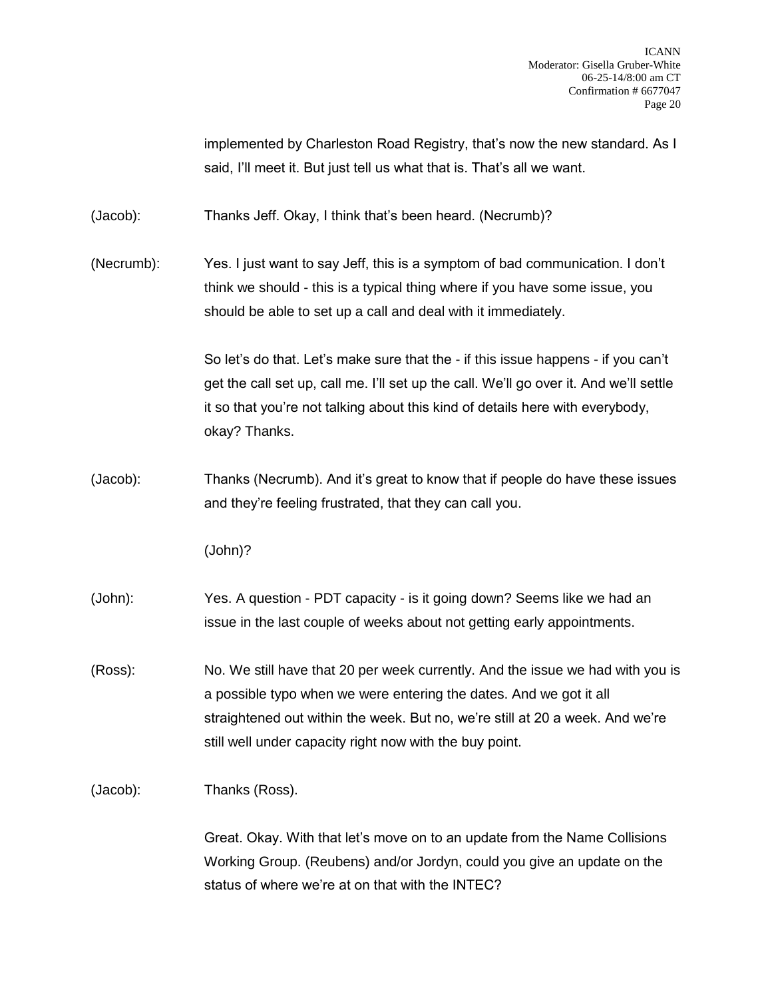implemented by Charleston Road Registry, that's now the new standard. As I said, I'll meet it. But just tell us what that is. That's all we want.

(Jacob): Thanks Jeff. Okay, I think that's been heard. (Necrumb)?

(Necrumb): Yes. I just want to say Jeff, this is a symptom of bad communication. I don't think we should - this is a typical thing where if you have some issue, you should be able to set up a call and deal with it immediately.

> So let's do that. Let's make sure that the - if this issue happens - if you can't get the call set up, call me. I'll set up the call. We'll go over it. And we'll settle it so that you're not talking about this kind of details here with everybody, okay? Thanks.

(Jacob): Thanks (Necrumb). And it's great to know that if people do have these issues and they're feeling frustrated, that they can call you.

(John)?

- (John): Yes. A question PDT capacity is it going down? Seems like we had an issue in the last couple of weeks about not getting early appointments.
- (Ross): No. We still have that 20 per week currently. And the issue we had with you is a possible typo when we were entering the dates. And we got it all straightened out within the week. But no, we're still at 20 a week. And we're still well under capacity right now with the buy point.

(Jacob): Thanks (Ross).

Great. Okay. With that let's move on to an update from the Name Collisions Working Group. (Reubens) and/or Jordyn, could you give an update on the status of where we're at on that with the INTEC?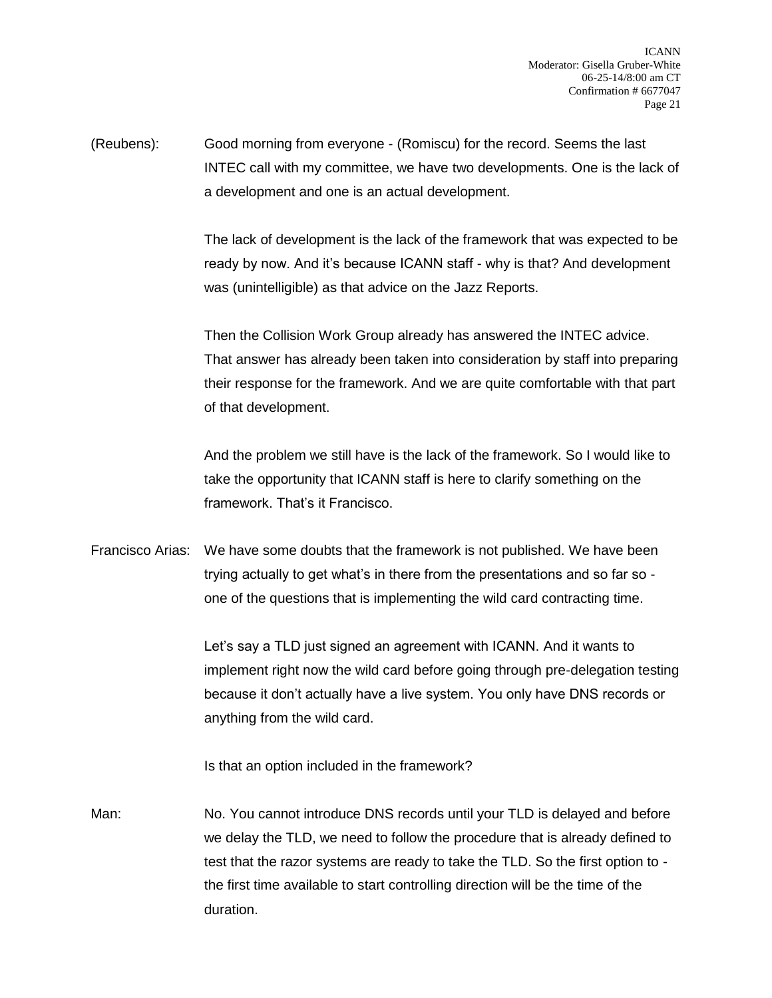(Reubens): Good morning from everyone - (Romiscu) for the record. Seems the last INTEC call with my committee, we have two developments. One is the lack of a development and one is an actual development.

> The lack of development is the lack of the framework that was expected to be ready by now. And it's because ICANN staff - why is that? And development was (unintelligible) as that advice on the Jazz Reports.

> Then the Collision Work Group already has answered the INTEC advice. That answer has already been taken into consideration by staff into preparing their response for the framework. And we are quite comfortable with that part of that development.

And the problem we still have is the lack of the framework. So I would like to take the opportunity that ICANN staff is here to clarify something on the framework. That's it Francisco.

Francisco Arias: We have some doubts that the framework is not published. We have been trying actually to get what's in there from the presentations and so far so one of the questions that is implementing the wild card contracting time.

> Let's say a TLD just signed an agreement with ICANN. And it wants to implement right now the wild card before going through pre-delegation testing because it don't actually have a live system. You only have DNS records or anything from the wild card.

Is that an option included in the framework?

Man: No. You cannot introduce DNS records until your TLD is delayed and before we delay the TLD, we need to follow the procedure that is already defined to test that the razor systems are ready to take the TLD. So the first option to the first time available to start controlling direction will be the time of the duration.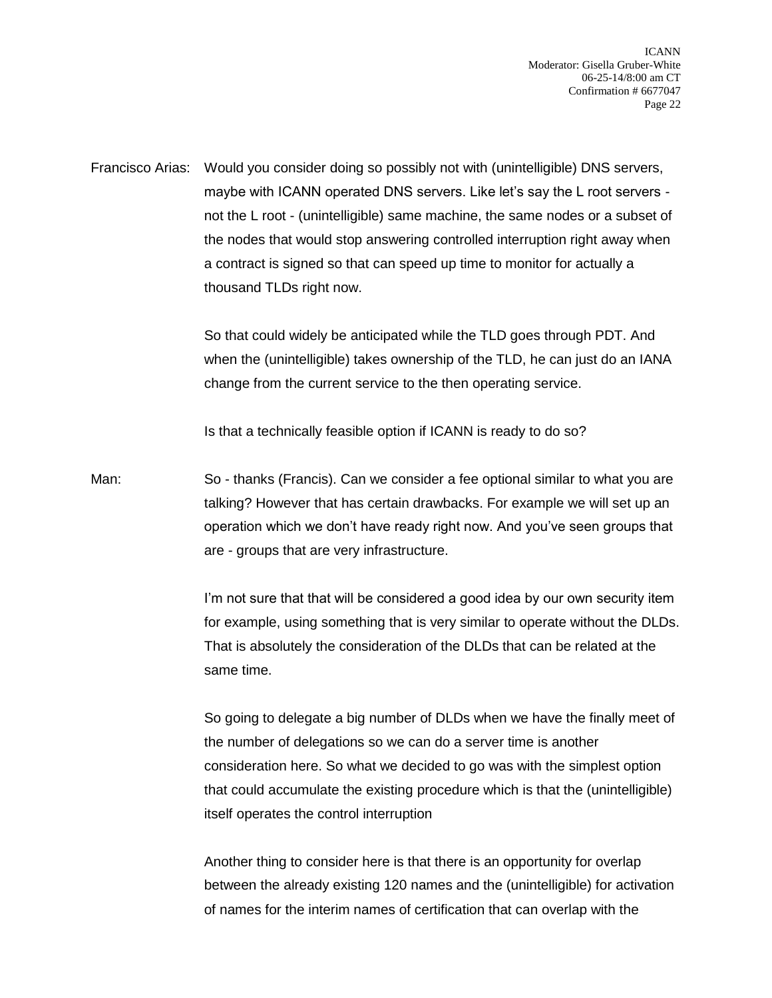Francisco Arias: Would you consider doing so possibly not with (unintelligible) DNS servers, maybe with ICANN operated DNS servers. Like let's say the L root servers not the L root - (unintelligible) same machine, the same nodes or a subset of the nodes that would stop answering controlled interruption right away when a contract is signed so that can speed up time to monitor for actually a thousand TLDs right now.

> So that could widely be anticipated while the TLD goes through PDT. And when the (unintelligible) takes ownership of the TLD, he can just do an IANA change from the current service to the then operating service.

Is that a technically feasible option if ICANN is ready to do so?

Man: So - thanks (Francis). Can we consider a fee optional similar to what you are talking? However that has certain drawbacks. For example we will set up an operation which we don't have ready right now. And you've seen groups that are - groups that are very infrastructure.

> I'm not sure that that will be considered a good idea by our own security item for example, using something that is very similar to operate without the DLDs. That is absolutely the consideration of the DLDs that can be related at the same time.

> So going to delegate a big number of DLDs when we have the finally meet of the number of delegations so we can do a server time is another consideration here. So what we decided to go was with the simplest option that could accumulate the existing procedure which is that the (unintelligible) itself operates the control interruption

> Another thing to consider here is that there is an opportunity for overlap between the already existing 120 names and the (unintelligible) for activation of names for the interim names of certification that can overlap with the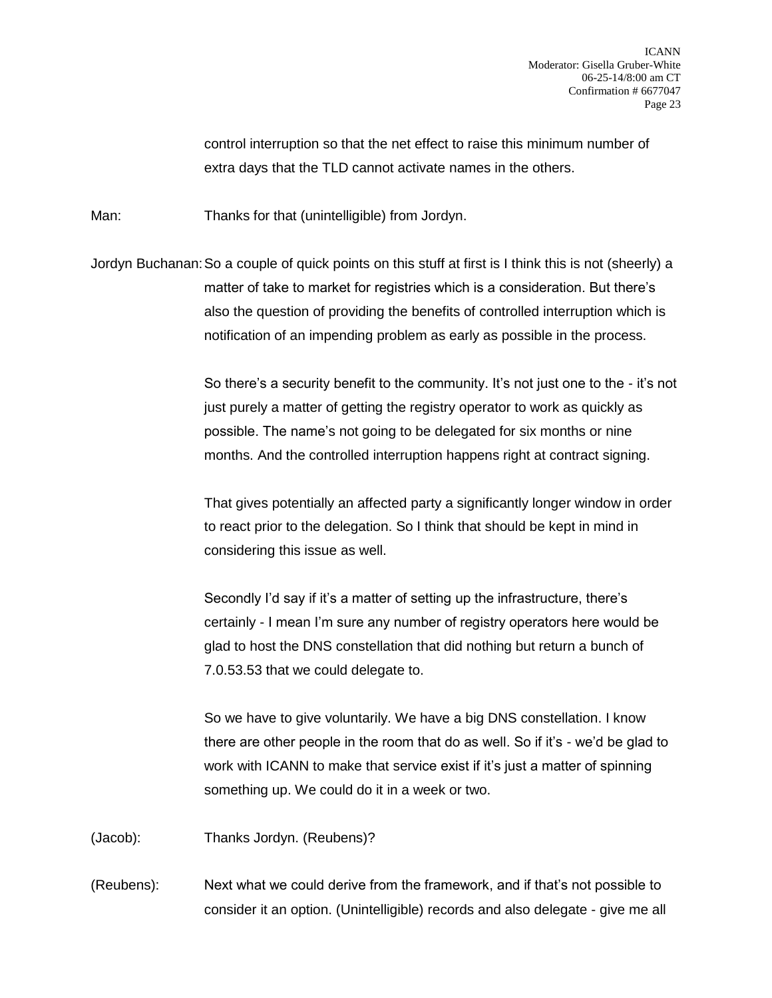control interruption so that the net effect to raise this minimum number of extra days that the TLD cannot activate names in the others.

Man: Thanks for that (unintelligible) from Jordyn.

Jordyn Buchanan:So a couple of quick points on this stuff at first is I think this is not (sheerly) a matter of take to market for registries which is a consideration. But there's also the question of providing the benefits of controlled interruption which is notification of an impending problem as early as possible in the process.

> So there's a security benefit to the community. It's not just one to the - it's not just purely a matter of getting the registry operator to work as quickly as possible. The name's not going to be delegated for six months or nine months. And the controlled interruption happens right at contract signing.

That gives potentially an affected party a significantly longer window in order to react prior to the delegation. So I think that should be kept in mind in considering this issue as well.

Secondly I'd say if it's a matter of setting up the infrastructure, there's certainly - I mean I'm sure any number of registry operators here would be glad to host the DNS constellation that did nothing but return a bunch of 7.0.53.53 that we could delegate to.

So we have to give voluntarily. We have a big DNS constellation. I know there are other people in the room that do as well. So if it's - we'd be glad to work with ICANN to make that service exist if it's just a matter of spinning something up. We could do it in a week or two.

(Jacob): Thanks Jordyn. (Reubens)?

(Reubens): Next what we could derive from the framework, and if that's not possible to consider it an option. (Unintelligible) records and also delegate - give me all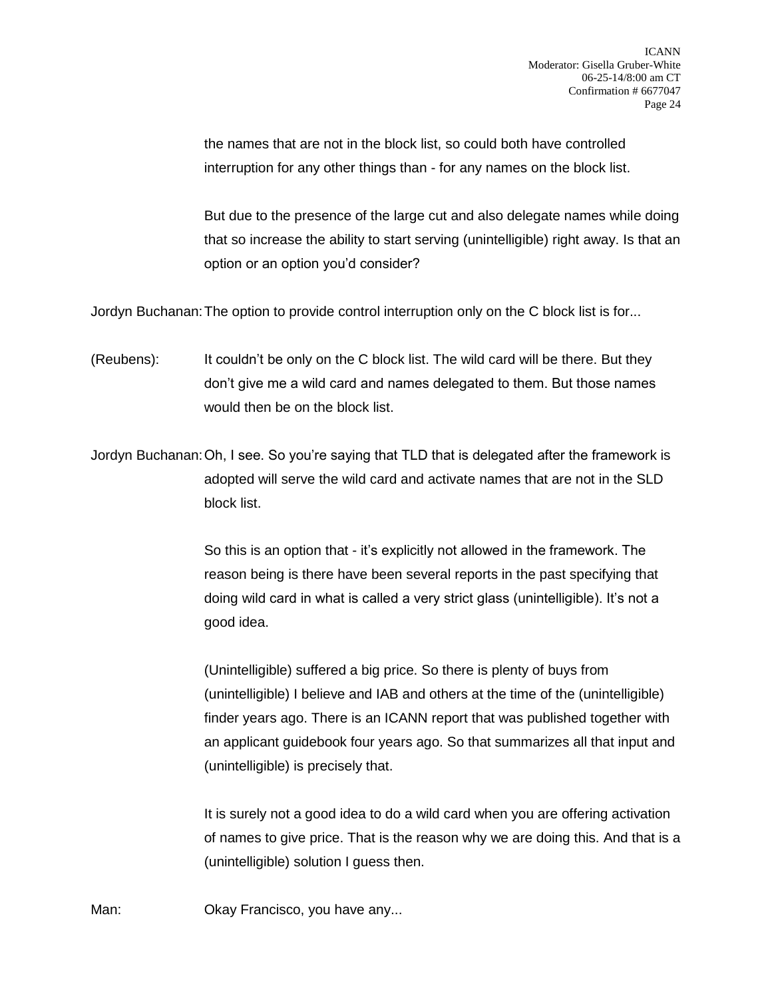the names that are not in the block list, so could both have controlled interruption for any other things than - for any names on the block list.

But due to the presence of the large cut and also delegate names while doing that so increase the ability to start serving (unintelligible) right away. Is that an option or an option you'd consider?

Jordyn Buchanan:The option to provide control interruption only on the C block list is for...

- (Reubens): It couldn't be only on the C block list. The wild card will be there. But they don't give me a wild card and names delegated to them. But those names would then be on the block list.
- Jordyn Buchanan:Oh, I see. So you're saying that TLD that is delegated after the framework is adopted will serve the wild card and activate names that are not in the SLD block list.

So this is an option that - it's explicitly not allowed in the framework. The reason being is there have been several reports in the past specifying that doing wild card in what is called a very strict glass (unintelligible). It's not a good idea.

(Unintelligible) suffered a big price. So there is plenty of buys from (unintelligible) I believe and IAB and others at the time of the (unintelligible) finder years ago. There is an ICANN report that was published together with an applicant guidebook four years ago. So that summarizes all that input and (unintelligible) is precisely that.

It is surely not a good idea to do a wild card when you are offering activation of names to give price. That is the reason why we are doing this. And that is a (unintelligible) solution I guess then.

Man: **Okay Francisco, you have any...**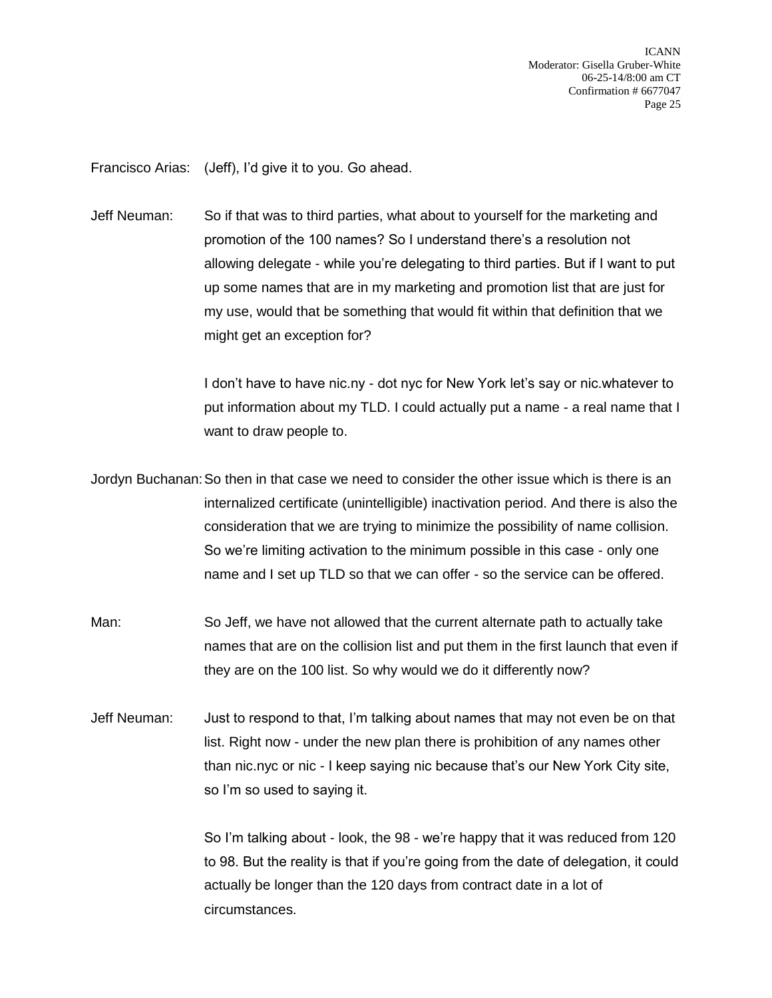Francisco Arias: (Jeff), I'd give it to you. Go ahead.

Jeff Neuman: So if that was to third parties, what about to yourself for the marketing and promotion of the 100 names? So I understand there's a resolution not allowing delegate - while you're delegating to third parties. But if I want to put up some names that are in my marketing and promotion list that are just for my use, would that be something that would fit within that definition that we might get an exception for?

> I don't have to have nic.ny - dot nyc for New York let's say or nic.whatever to put information about my TLD. I could actually put a name - a real name that I want to draw people to.

Jordyn Buchanan:So then in that case we need to consider the other issue which is there is an internalized certificate (unintelligible) inactivation period. And there is also the consideration that we are trying to minimize the possibility of name collision. So we're limiting activation to the minimum possible in this case - only one name and I set up TLD so that we can offer - so the service can be offered.

- Man: So Jeff, we have not allowed that the current alternate path to actually take names that are on the collision list and put them in the first launch that even if they are on the 100 list. So why would we do it differently now?
- Jeff Neuman: Just to respond to that, I'm talking about names that may not even be on that list. Right now - under the new plan there is prohibition of any names other than nic.nyc or nic - I keep saying nic because that's our New York City site, so I'm so used to saying it.

So I'm talking about - look, the 98 - we're happy that it was reduced from 120 to 98. But the reality is that if you're going from the date of delegation, it could actually be longer than the 120 days from contract date in a lot of circumstances.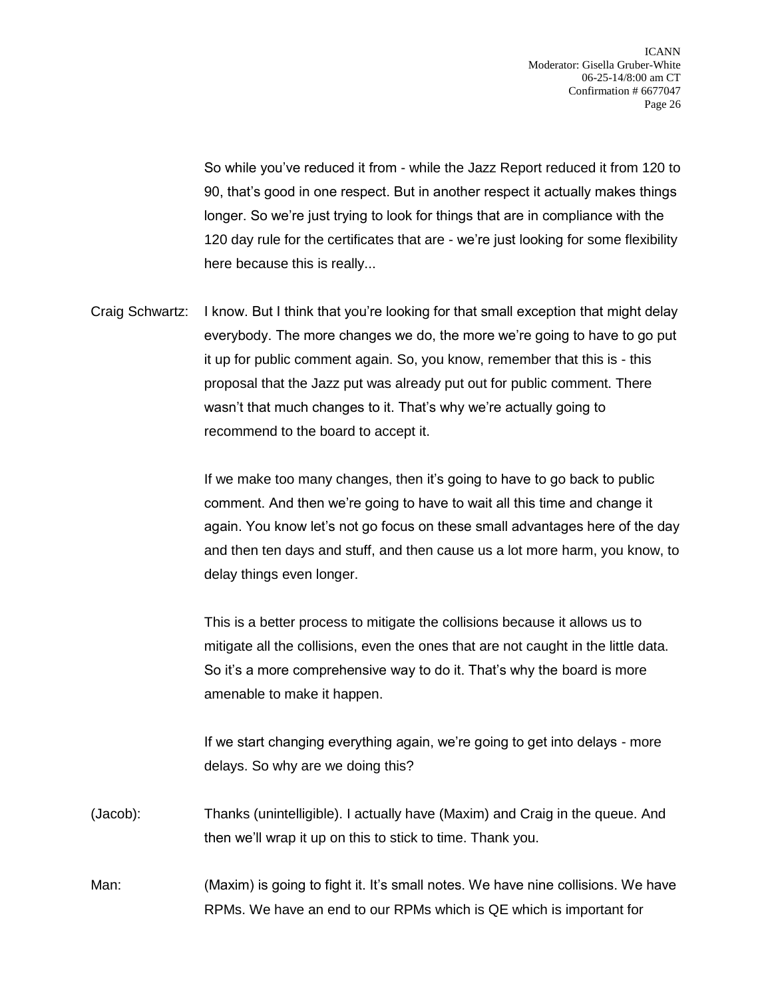So while you've reduced it from - while the Jazz Report reduced it from 120 to 90, that's good in one respect. But in another respect it actually makes things longer. So we're just trying to look for things that are in compliance with the 120 day rule for the certificates that are - we're just looking for some flexibility here because this is really...

Craig Schwartz: I know. But I think that you're looking for that small exception that might delay everybody. The more changes we do, the more we're going to have to go put it up for public comment again. So, you know, remember that this is - this proposal that the Jazz put was already put out for public comment. There wasn't that much changes to it. That's why we're actually going to recommend to the board to accept it.

> If we make too many changes, then it's going to have to go back to public comment. And then we're going to have to wait all this time and change it again. You know let's not go focus on these small advantages here of the day and then ten days and stuff, and then cause us a lot more harm, you know, to delay things even longer.

This is a better process to mitigate the collisions because it allows us to mitigate all the collisions, even the ones that are not caught in the little data. So it's a more comprehensive way to do it. That's why the board is more amenable to make it happen.

If we start changing everything again, we're going to get into delays - more delays. So why are we doing this?

- (Jacob): Thanks (unintelligible). I actually have (Maxim) and Craig in the queue. And then we'll wrap it up on this to stick to time. Thank you.
- Man: (Maxim) is going to fight it. It's small notes. We have nine collisions. We have RPMs. We have an end to our RPMs which is QE which is important for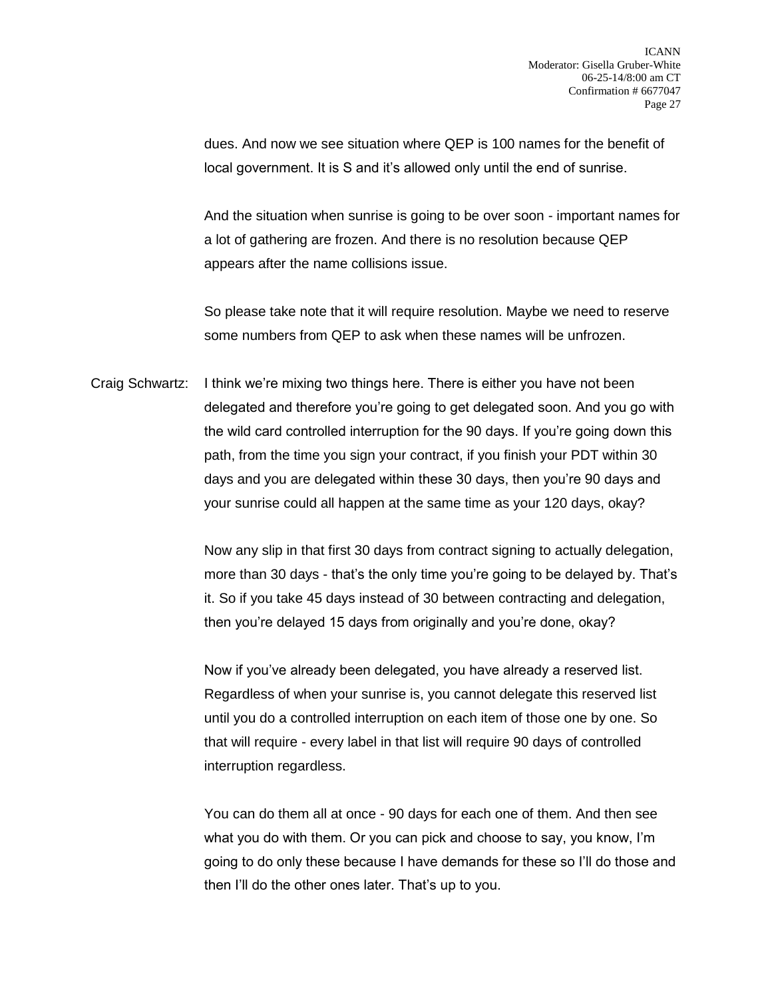dues. And now we see situation where QEP is 100 names for the benefit of local government. It is S and it's allowed only until the end of sunrise.

And the situation when sunrise is going to be over soon - important names for a lot of gathering are frozen. And there is no resolution because QEP appears after the name collisions issue.

So please take note that it will require resolution. Maybe we need to reserve some numbers from QEP to ask when these names will be unfrozen.

Craig Schwartz: I think we're mixing two things here. There is either you have not been delegated and therefore you're going to get delegated soon. And you go with the wild card controlled interruption for the 90 days. If you're going down this path, from the time you sign your contract, if you finish your PDT within 30 days and you are delegated within these 30 days, then you're 90 days and your sunrise could all happen at the same time as your 120 days, okay?

> Now any slip in that first 30 days from contract signing to actually delegation, more than 30 days - that's the only time you're going to be delayed by. That's it. So if you take 45 days instead of 30 between contracting and delegation, then you're delayed 15 days from originally and you're done, okay?

Now if you've already been delegated, you have already a reserved list. Regardless of when your sunrise is, you cannot delegate this reserved list until you do a controlled interruption on each item of those one by one. So that will require - every label in that list will require 90 days of controlled interruption regardless.

You can do them all at once - 90 days for each one of them. And then see what you do with them. Or you can pick and choose to say, you know, I'm going to do only these because I have demands for these so I'll do those and then I'll do the other ones later. That's up to you.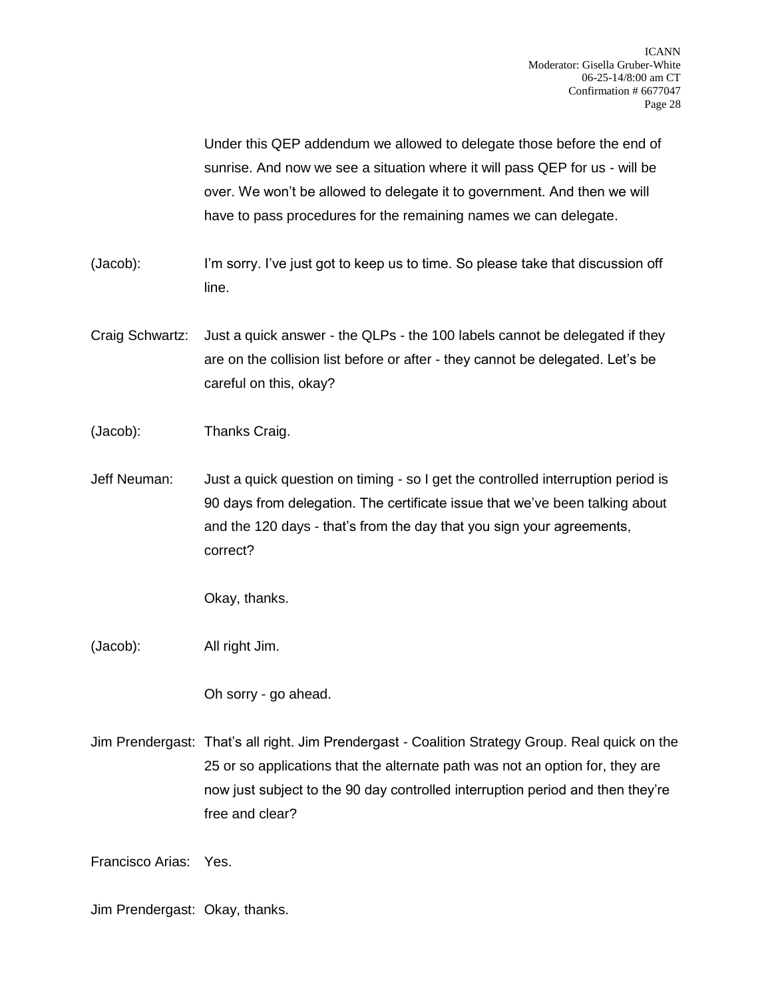Under this QEP addendum we allowed to delegate those before the end of sunrise. And now we see a situation where it will pass QEP for us - will be over. We won't be allowed to delegate it to government. And then we will have to pass procedures for the remaining names we can delegate.

- (Jacob): I'm sorry. I've just got to keep us to time. So please take that discussion off line.
- Craig Schwartz: Just a quick answer the QLPs the 100 labels cannot be delegated if they are on the collision list before or after - they cannot be delegated. Let's be careful on this, okay?
- (Jacob): Thanks Craig.
- Jeff Neuman: Just a quick question on timing so I get the controlled interruption period is 90 days from delegation. The certificate issue that we've been talking about and the 120 days - that's from the day that you sign your agreements, correct?

Okay, thanks.

(Jacob): All right Jim.

Oh sorry - go ahead.

Jim Prendergast: That's all right. Jim Prendergast - Coalition Strategy Group. Real quick on the 25 or so applications that the alternate path was not an option for, they are now just subject to the 90 day controlled interruption period and then they're free and clear?

Francisco Arias: Yes.

Jim Prendergast: Okay, thanks.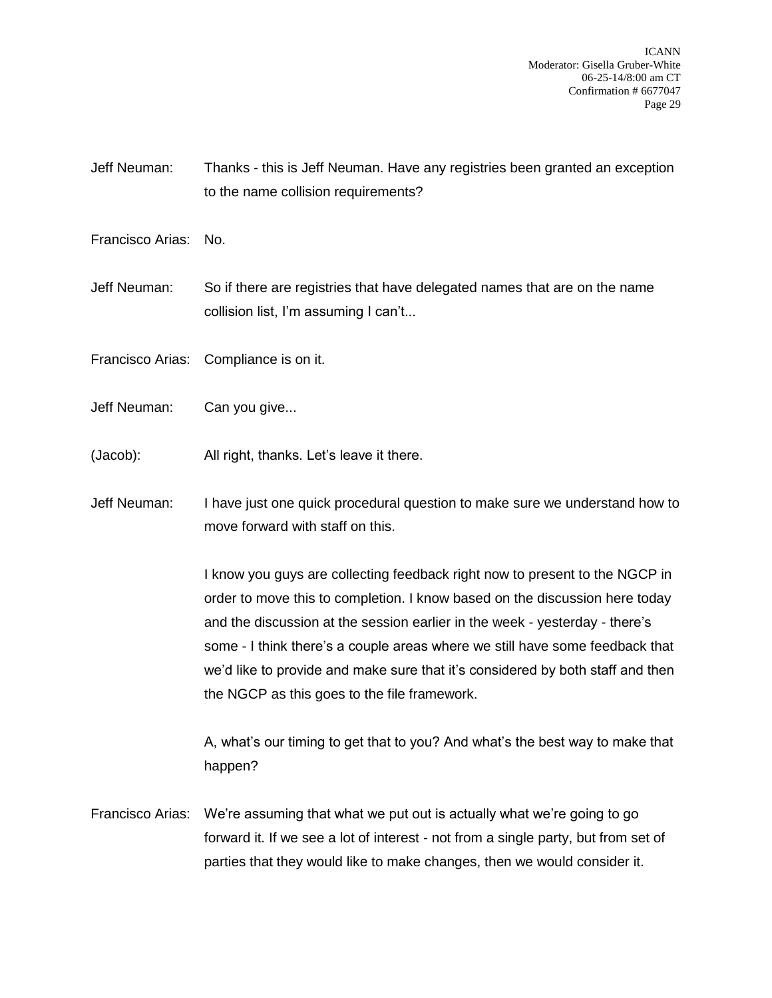ICANN Moderator: Gisella Gruber-White 06-25-14/8:00 am CT Confirmation # 6677047 Page 29

Jeff Neuman: Thanks - this is Jeff Neuman. Have any registries been granted an exception to the name collision requirements?

Francisco Arias: No.

Jeff Neuman: So if there are registries that have delegated names that are on the name collision list, I'm assuming I can't...

Francisco Arias: Compliance is on it.

Jeff Neuman: Can you give...

(Jacob): All right, thanks. Let's leave it there.

Jeff Neuman: I have just one quick procedural question to make sure we understand how to move forward with staff on this.

> I know you guys are collecting feedback right now to present to the NGCP in order to move this to completion. I know based on the discussion here today and the discussion at the session earlier in the week - yesterday - there's some - I think there's a couple areas where we still have some feedback that we'd like to provide and make sure that it's considered by both staff and then the NGCP as this goes to the file framework.

> A, what's our timing to get that to you? And what's the best way to make that happen?

Francisco Arias: We're assuming that what we put out is actually what we're going to go forward it. If we see a lot of interest - not from a single party, but from set of parties that they would like to make changes, then we would consider it.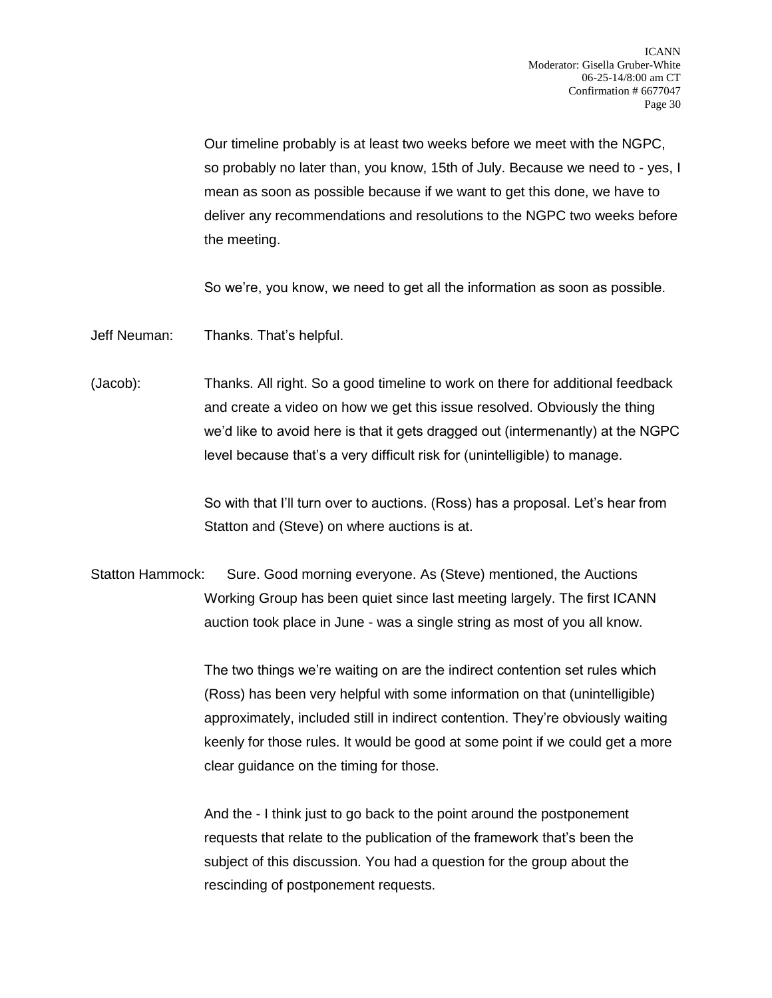Our timeline probably is at least two weeks before we meet with the NGPC, so probably no later than, you know, 15th of July. Because we need to - yes, I mean as soon as possible because if we want to get this done, we have to deliver any recommendations and resolutions to the NGPC two weeks before the meeting.

So we're, you know, we need to get all the information as soon as possible.

Jeff Neuman: Thanks. That's helpful.

(Jacob): Thanks. All right. So a good timeline to work on there for additional feedback and create a video on how we get this issue resolved. Obviously the thing we'd like to avoid here is that it gets dragged out (intermenantly) at the NGPC level because that's a very difficult risk for (unintelligible) to manage.

> So with that I'll turn over to auctions. (Ross) has a proposal. Let's hear from Statton and (Steve) on where auctions is at.

Statton Hammock: Sure. Good morning everyone. As (Steve) mentioned, the Auctions Working Group has been quiet since last meeting largely. The first ICANN auction took place in June - was a single string as most of you all know.

> The two things we're waiting on are the indirect contention set rules which (Ross) has been very helpful with some information on that (unintelligible) approximately, included still in indirect contention. They're obviously waiting keenly for those rules. It would be good at some point if we could get a more clear guidance on the timing for those.

And the - I think just to go back to the point around the postponement requests that relate to the publication of the framework that's been the subject of this discussion. You had a question for the group about the rescinding of postponement requests.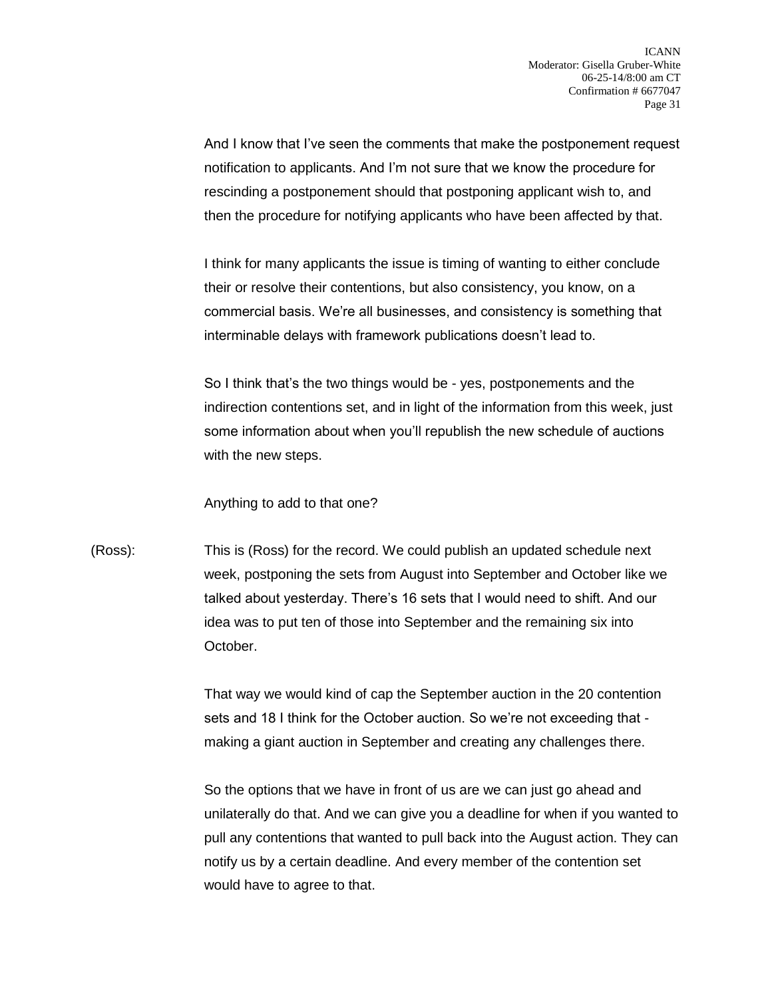And I know that I've seen the comments that make the postponement request notification to applicants. And I'm not sure that we know the procedure for rescinding a postponement should that postponing applicant wish to, and then the procedure for notifying applicants who have been affected by that.

I think for many applicants the issue is timing of wanting to either conclude their or resolve their contentions, but also consistency, you know, on a commercial basis. We're all businesses, and consistency is something that interminable delays with framework publications doesn't lead to.

So I think that's the two things would be - yes, postponements and the indirection contentions set, and in light of the information from this week, just some information about when you'll republish the new schedule of auctions with the new steps.

Anything to add to that one?

(Ross): This is (Ross) for the record. We could publish an updated schedule next week, postponing the sets from August into September and October like we talked about yesterday. There's 16 sets that I would need to shift. And our idea was to put ten of those into September and the remaining six into October.

> That way we would kind of cap the September auction in the 20 contention sets and 18 I think for the October auction. So we're not exceeding that making a giant auction in September and creating any challenges there.

So the options that we have in front of us are we can just go ahead and unilaterally do that. And we can give you a deadline for when if you wanted to pull any contentions that wanted to pull back into the August action. They can notify us by a certain deadline. And every member of the contention set would have to agree to that.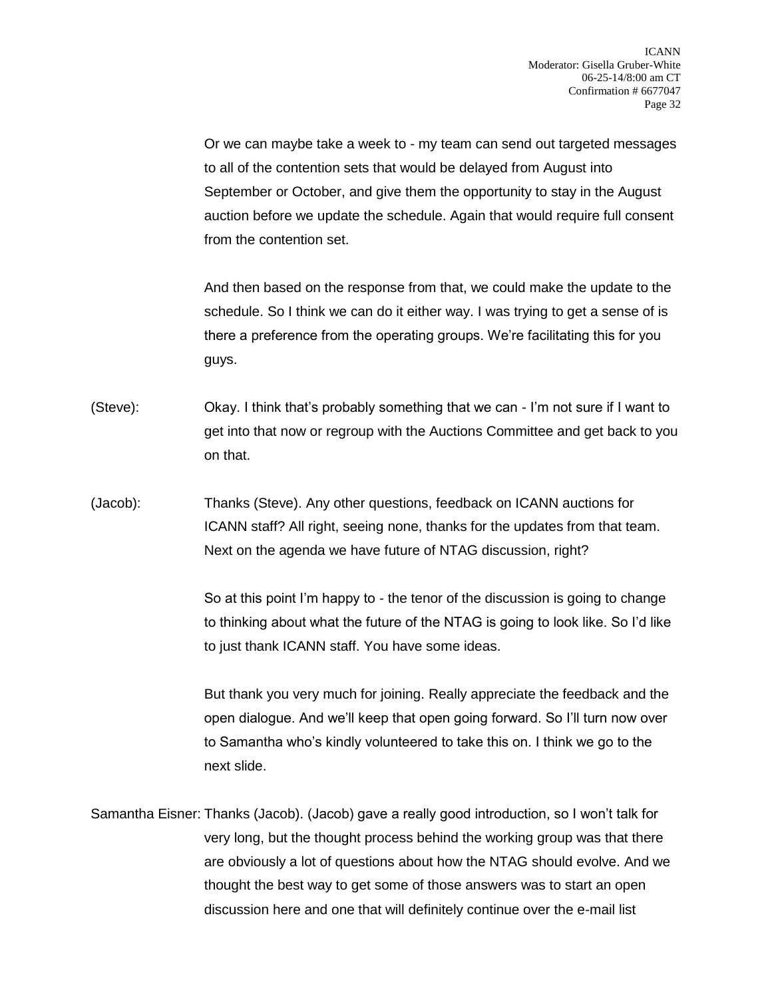Or we can maybe take a week to - my team can send out targeted messages to all of the contention sets that would be delayed from August into September or October, and give them the opportunity to stay in the August auction before we update the schedule. Again that would require full consent from the contention set.

And then based on the response from that, we could make the update to the schedule. So I think we can do it either way. I was trying to get a sense of is there a preference from the operating groups. We're facilitating this for you guys.

(Steve): Okay. I think that's probably something that we can - I'm not sure if I want to get into that now or regroup with the Auctions Committee and get back to you on that.

(Jacob): Thanks (Steve). Any other questions, feedback on ICANN auctions for ICANN staff? All right, seeing none, thanks for the updates from that team. Next on the agenda we have future of NTAG discussion, right?

> So at this point I'm happy to - the tenor of the discussion is going to change to thinking about what the future of the NTAG is going to look like. So I'd like to just thank ICANN staff. You have some ideas.

> But thank you very much for joining. Really appreciate the feedback and the open dialogue. And we'll keep that open going forward. So I'll turn now over to Samantha who's kindly volunteered to take this on. I think we go to the next slide.

Samantha Eisner: Thanks (Jacob). (Jacob) gave a really good introduction, so I won't talk for very long, but the thought process behind the working group was that there are obviously a lot of questions about how the NTAG should evolve. And we thought the best way to get some of those answers was to start an open discussion here and one that will definitely continue over the e-mail list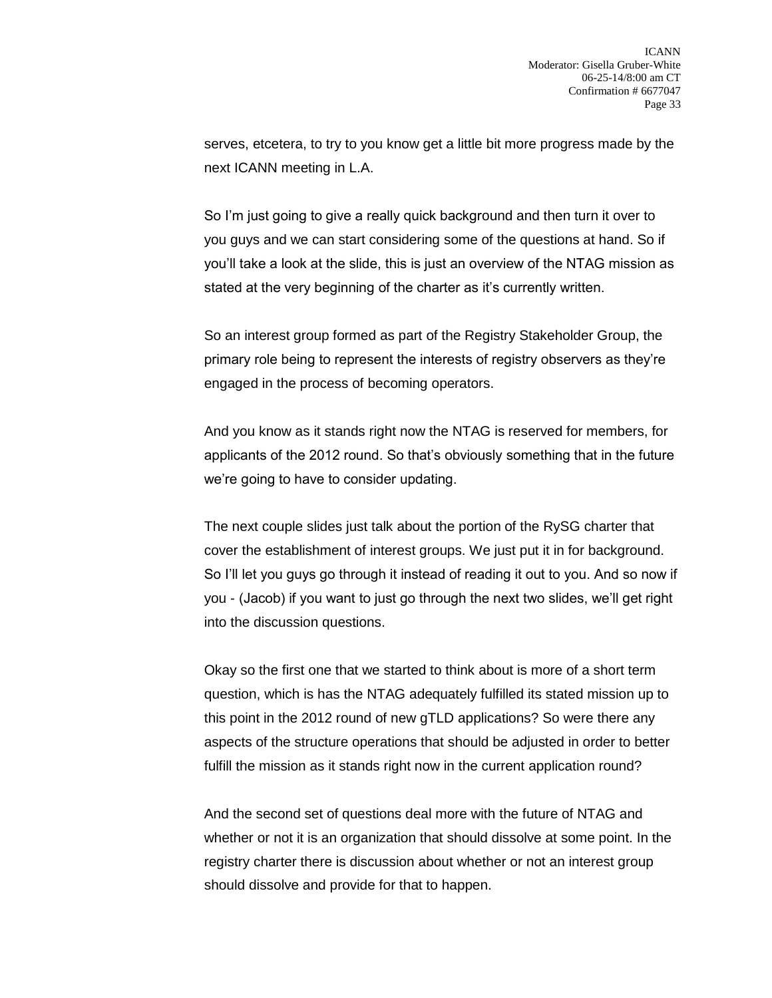serves, etcetera, to try to you know get a little bit more progress made by the next ICANN meeting in L.A.

So I'm just going to give a really quick background and then turn it over to you guys and we can start considering some of the questions at hand. So if you'll take a look at the slide, this is just an overview of the NTAG mission as stated at the very beginning of the charter as it's currently written.

So an interest group formed as part of the Registry Stakeholder Group, the primary role being to represent the interests of registry observers as they're engaged in the process of becoming operators.

And you know as it stands right now the NTAG is reserved for members, for applicants of the 2012 round. So that's obviously something that in the future we're going to have to consider updating.

The next couple slides just talk about the portion of the RySG charter that cover the establishment of interest groups. We just put it in for background. So I'll let you guys go through it instead of reading it out to you. And so now if you - (Jacob) if you want to just go through the next two slides, we'll get right into the discussion questions.

Okay so the first one that we started to think about is more of a short term question, which is has the NTAG adequately fulfilled its stated mission up to this point in the 2012 round of new gTLD applications? So were there any aspects of the structure operations that should be adjusted in order to better fulfill the mission as it stands right now in the current application round?

And the second set of questions deal more with the future of NTAG and whether or not it is an organization that should dissolve at some point. In the registry charter there is discussion about whether or not an interest group should dissolve and provide for that to happen.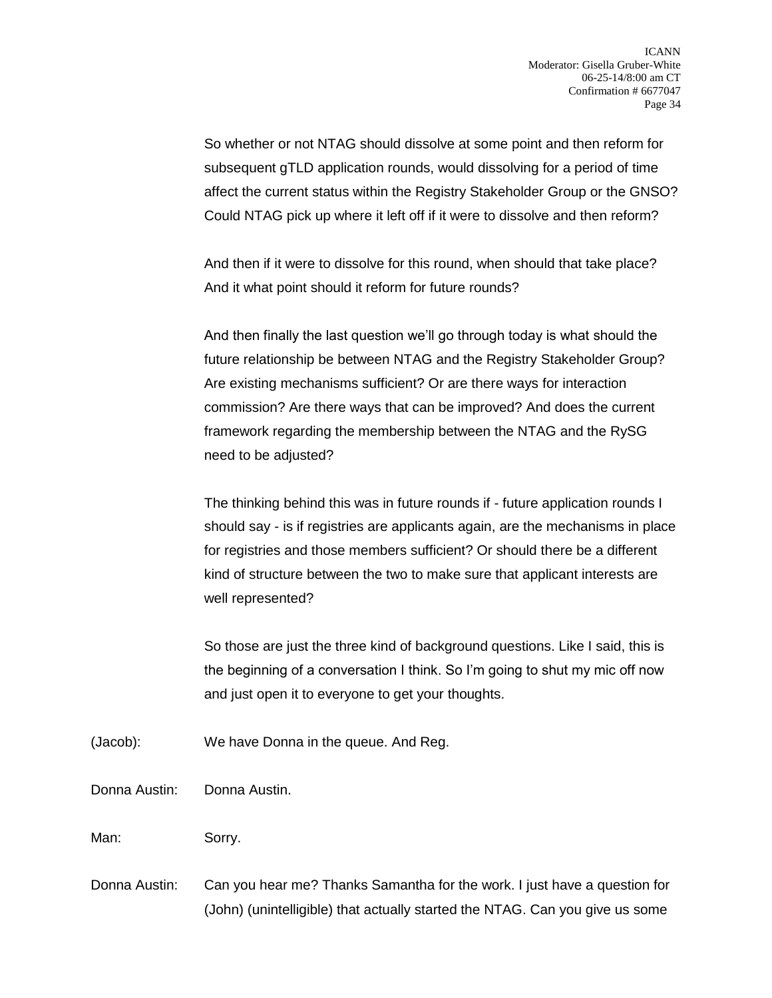So whether or not NTAG should dissolve at some point and then reform for subsequent gTLD application rounds, would dissolving for a period of time affect the current status within the Registry Stakeholder Group or the GNSO? Could NTAG pick up where it left off if it were to dissolve and then reform?

And then if it were to dissolve for this round, when should that take place? And it what point should it reform for future rounds?

And then finally the last question we'll go through today is what should the future relationship be between NTAG and the Registry Stakeholder Group? Are existing mechanisms sufficient? Or are there ways for interaction commission? Are there ways that can be improved? And does the current framework regarding the membership between the NTAG and the RySG need to be adjusted?

The thinking behind this was in future rounds if - future application rounds I should say - is if registries are applicants again, are the mechanisms in place for registries and those members sufficient? Or should there be a different kind of structure between the two to make sure that applicant interests are well represented?

So those are just the three kind of background questions. Like I said, this is the beginning of a conversation I think. So I'm going to shut my mic off now and just open it to everyone to get your thoughts.

- (Jacob): We have Donna in the queue. And Reg.
- Donna Austin: Donna Austin.

Man: Sorry.

Donna Austin: Can you hear me? Thanks Samantha for the work. I just have a question for (John) (unintelligible) that actually started the NTAG. Can you give us some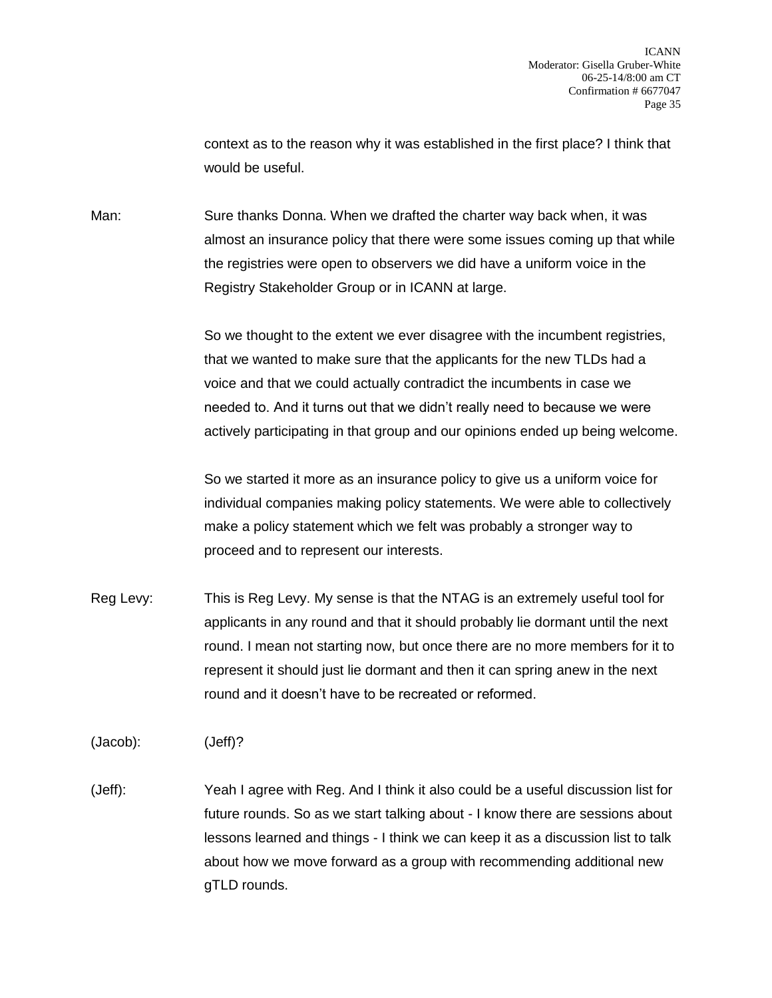context as to the reason why it was established in the first place? I think that would be useful.

Man: Sure thanks Donna. When we drafted the charter way back when, it was almost an insurance policy that there were some issues coming up that while the registries were open to observers we did have a uniform voice in the Registry Stakeholder Group or in ICANN at large.

> So we thought to the extent we ever disagree with the incumbent registries, that we wanted to make sure that the applicants for the new TLDs had a voice and that we could actually contradict the incumbents in case we needed to. And it turns out that we didn't really need to because we were actively participating in that group and our opinions ended up being welcome.

So we started it more as an insurance policy to give us a uniform voice for individual companies making policy statements. We were able to collectively make a policy statement which we felt was probably a stronger way to proceed and to represent our interests.

Reg Levy: This is Reg Levy. My sense is that the NTAG is an extremely useful tool for applicants in any round and that it should probably lie dormant until the next round. I mean not starting now, but once there are no more members for it to represent it should just lie dormant and then it can spring anew in the next round and it doesn't have to be recreated or reformed.

(Jacob): (Jeff)?

(Jeff): Yeah I agree with Reg. And I think it also could be a useful discussion list for future rounds. So as we start talking about - I know there are sessions about lessons learned and things - I think we can keep it as a discussion list to talk about how we move forward as a group with recommending additional new gTLD rounds.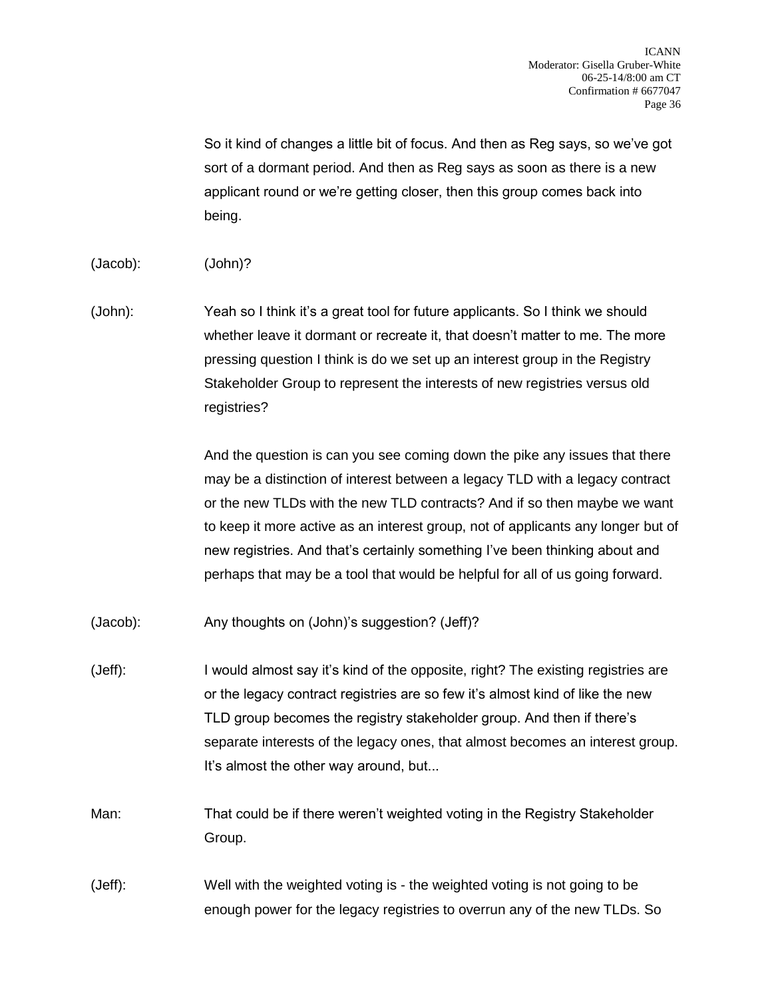So it kind of changes a little bit of focus. And then as Reg says, so we've got sort of a dormant period. And then as Reg says as soon as there is a new applicant round or we're getting closer, then this group comes back into being.

- (Jacob): (John)?
- (John): Yeah so I think it's a great tool for future applicants. So I think we should whether leave it dormant or recreate it, that doesn't matter to me. The more pressing question I think is do we set up an interest group in the Registry Stakeholder Group to represent the interests of new registries versus old registries?

And the question is can you see coming down the pike any issues that there may be a distinction of interest between a legacy TLD with a legacy contract or the new TLDs with the new TLD contracts? And if so then maybe we want to keep it more active as an interest group, not of applicants any longer but of new registries. And that's certainly something I've been thinking about and perhaps that may be a tool that would be helpful for all of us going forward.

- (Jacob): Any thoughts on (John)'s suggestion? (Jeff)?
- (Jeff): I would almost say it's kind of the opposite, right? The existing registries are or the legacy contract registries are so few it's almost kind of like the new TLD group becomes the registry stakeholder group. And then if there's separate interests of the legacy ones, that almost becomes an interest group. It's almost the other way around, but...
- Man: That could be if there weren't weighted voting in the Registry Stakeholder Group.

(Jeff): Well with the weighted voting is - the weighted voting is not going to be enough power for the legacy registries to overrun any of the new TLDs. So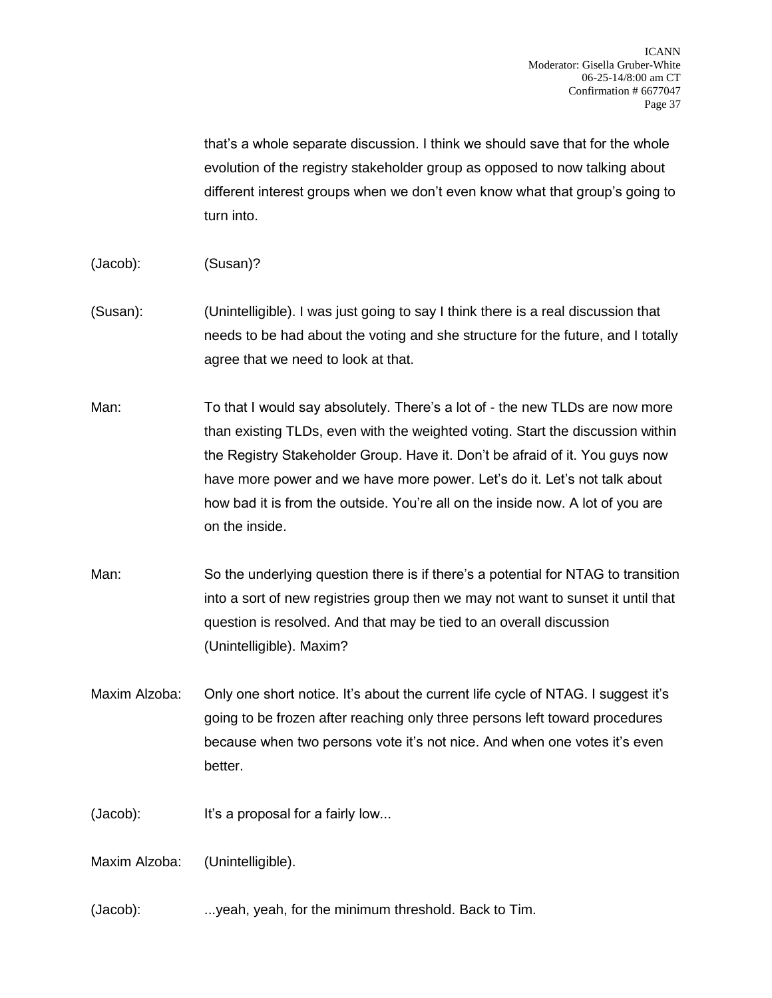that's a whole separate discussion. I think we should save that for the whole evolution of the registry stakeholder group as opposed to now talking about different interest groups when we don't even know what that group's going to turn into.

- (Jacob): (Susan)?
- (Susan): (Unintelligible). I was just going to say I think there is a real discussion that needs to be had about the voting and she structure for the future, and I totally agree that we need to look at that.
- Man: To that I would say absolutely. There's a lot of the new TLDs are now more than existing TLDs, even with the weighted voting. Start the discussion within the Registry Stakeholder Group. Have it. Don't be afraid of it. You guys now have more power and we have more power. Let's do it. Let's not talk about how bad it is from the outside. You're all on the inside now. A lot of you are on the inside.
- Man: So the underlying question there is if there's a potential for NTAG to transition into a sort of new registries group then we may not want to sunset it until that question is resolved. And that may be tied to an overall discussion (Unintelligible). Maxim?
- Maxim Alzoba: Only one short notice. It's about the current life cycle of NTAG. I suggest it's going to be frozen after reaching only three persons left toward procedures because when two persons vote it's not nice. And when one votes it's even better.
- (Jacob): It's a proposal for a fairly low...

Maxim Alzoba: (Unintelligible).

(Jacob): ...yeah, yeah, for the minimum threshold. Back to Tim.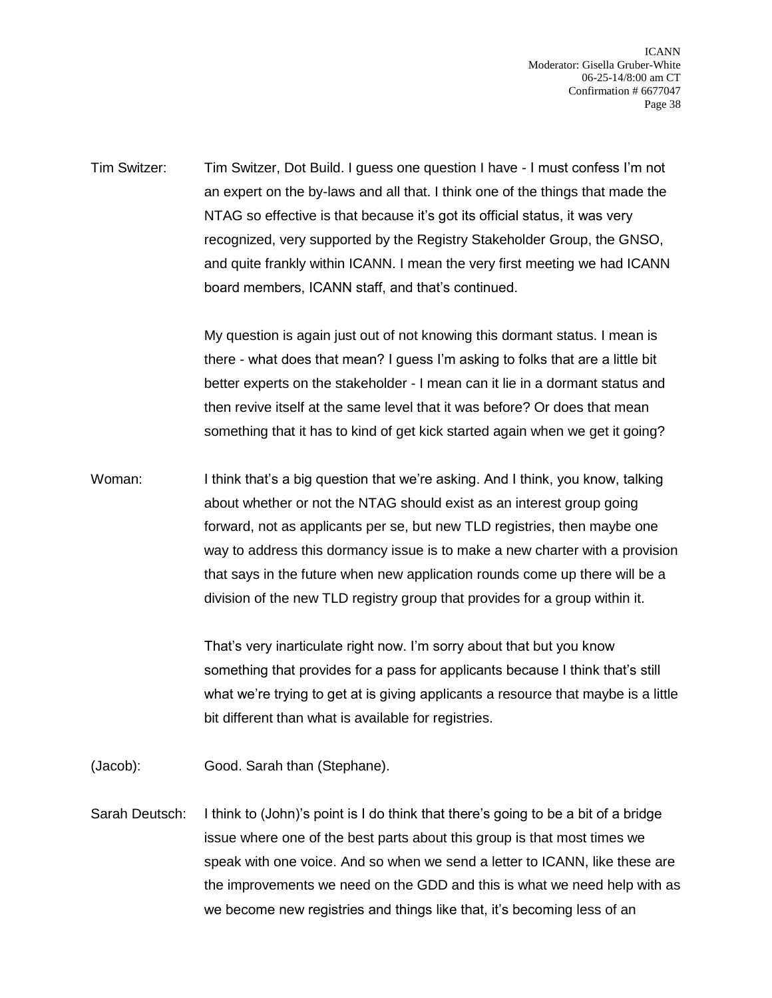ICANN Moderator: Gisella Gruber-White 06-25-14/8:00 am CT Confirmation # 6677047 Page 38

Tim Switzer: Tim Switzer, Dot Build. I guess one question I have - I must confess I'm not an expert on the by-laws and all that. I think one of the things that made the NTAG so effective is that because it's got its official status, it was very recognized, very supported by the Registry Stakeholder Group, the GNSO, and quite frankly within ICANN. I mean the very first meeting we had ICANN board members, ICANN staff, and that's continued.

> My question is again just out of not knowing this dormant status. I mean is there - what does that mean? I guess I'm asking to folks that are a little bit better experts on the stakeholder - I mean can it lie in a dormant status and then revive itself at the same level that it was before? Or does that mean something that it has to kind of get kick started again when we get it going?

Woman: I think that's a big question that we're asking. And I think, you know, talking about whether or not the NTAG should exist as an interest group going forward, not as applicants per se, but new TLD registries, then maybe one way to address this dormancy issue is to make a new charter with a provision that says in the future when new application rounds come up there will be a division of the new TLD registry group that provides for a group within it.

> That's very inarticulate right now. I'm sorry about that but you know something that provides for a pass for applicants because I think that's still what we're trying to get at is giving applicants a resource that maybe is a little bit different than what is available for registries.

(Jacob): Good. Sarah than (Stephane).

Sarah Deutsch: I think to (John)'s point is I do think that there's going to be a bit of a bridge issue where one of the best parts about this group is that most times we speak with one voice. And so when we send a letter to ICANN, like these are the improvements we need on the GDD and this is what we need help with as we become new registries and things like that, it's becoming less of an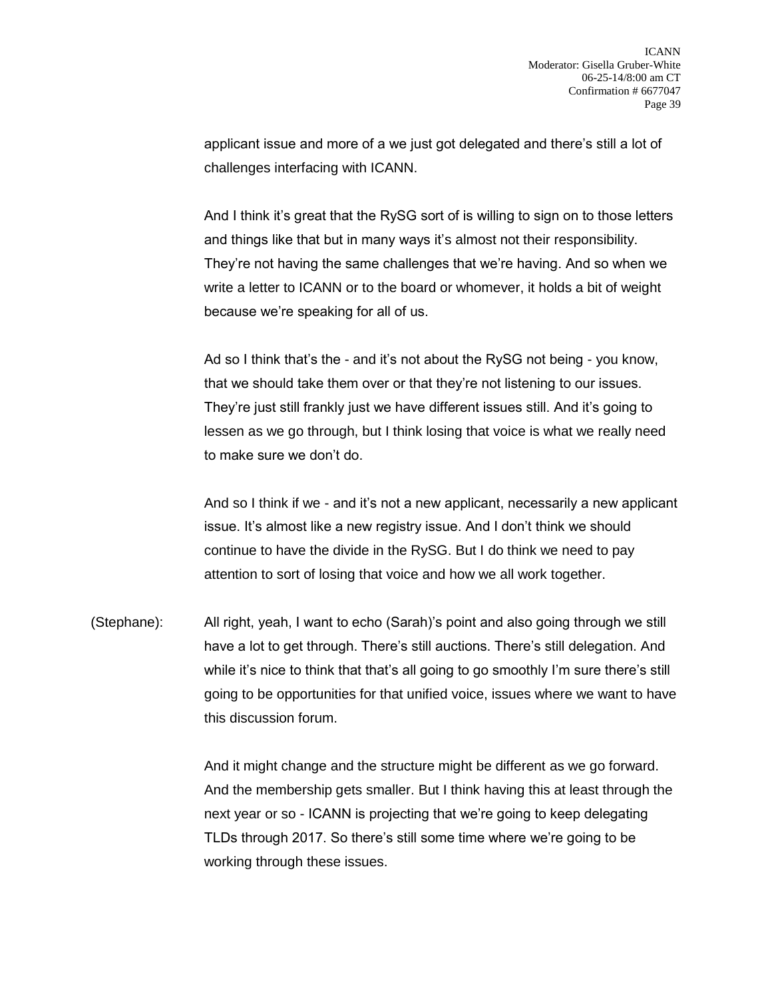applicant issue and more of a we just got delegated and there's still a lot of challenges interfacing with ICANN.

And I think it's great that the RySG sort of is willing to sign on to those letters and things like that but in many ways it's almost not their responsibility. They're not having the same challenges that we're having. And so when we write a letter to ICANN or to the board or whomever, it holds a bit of weight because we're speaking for all of us.

Ad so I think that's the - and it's not about the RySG not being - you know, that we should take them over or that they're not listening to our issues. They're just still frankly just we have different issues still. And it's going to lessen as we go through, but I think losing that voice is what we really need to make sure we don't do.

And so I think if we - and it's not a new applicant, necessarily a new applicant issue. It's almost like a new registry issue. And I don't think we should continue to have the divide in the RySG. But I do think we need to pay attention to sort of losing that voice and how we all work together.

(Stephane): All right, yeah, I want to echo (Sarah)'s point and also going through we still have a lot to get through. There's still auctions. There's still delegation. And while it's nice to think that that's all going to go smoothly I'm sure there's still going to be opportunities for that unified voice, issues where we want to have this discussion forum.

> And it might change and the structure might be different as we go forward. And the membership gets smaller. But I think having this at least through the next year or so - ICANN is projecting that we're going to keep delegating TLDs through 2017. So there's still some time where we're going to be working through these issues.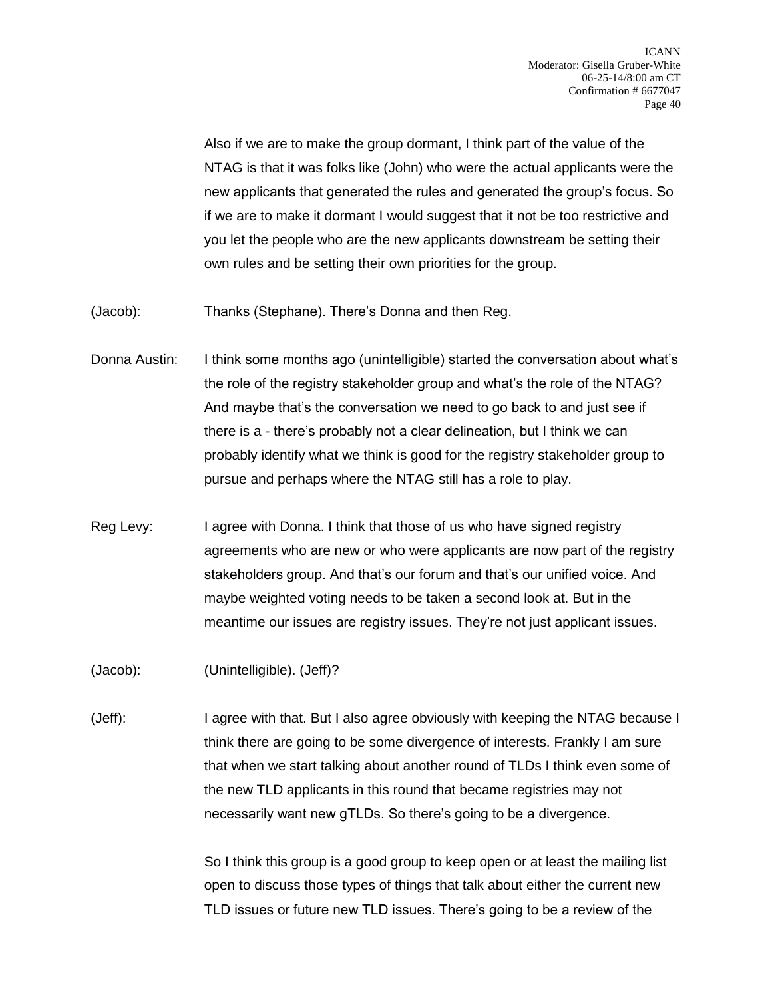Also if we are to make the group dormant, I think part of the value of the NTAG is that it was folks like (John) who were the actual applicants were the new applicants that generated the rules and generated the group's focus. So if we are to make it dormant I would suggest that it not be too restrictive and you let the people who are the new applicants downstream be setting their own rules and be setting their own priorities for the group.

(Jacob): Thanks (Stephane). There's Donna and then Reg.

- Donna Austin: I think some months ago (unintelligible) started the conversation about what's the role of the registry stakeholder group and what's the role of the NTAG? And maybe that's the conversation we need to go back to and just see if there is a - there's probably not a clear delineation, but I think we can probably identify what we think is good for the registry stakeholder group to pursue and perhaps where the NTAG still has a role to play.
- Reg Levy: I agree with Donna. I think that those of us who have signed registry agreements who are new or who were applicants are now part of the registry stakeholders group. And that's our forum and that's our unified voice. And maybe weighted voting needs to be taken a second look at. But in the meantime our issues are registry issues. They're not just applicant issues.

(Jacob): (Unintelligible). (Jeff)?

(Jeff): I agree with that. But I also agree obviously with keeping the NTAG because I think there are going to be some divergence of interests. Frankly I am sure that when we start talking about another round of TLDs I think even some of the new TLD applicants in this round that became registries may not necessarily want new gTLDs. So there's going to be a divergence.

> So I think this group is a good group to keep open or at least the mailing list open to discuss those types of things that talk about either the current new TLD issues or future new TLD issues. There's going to be a review of the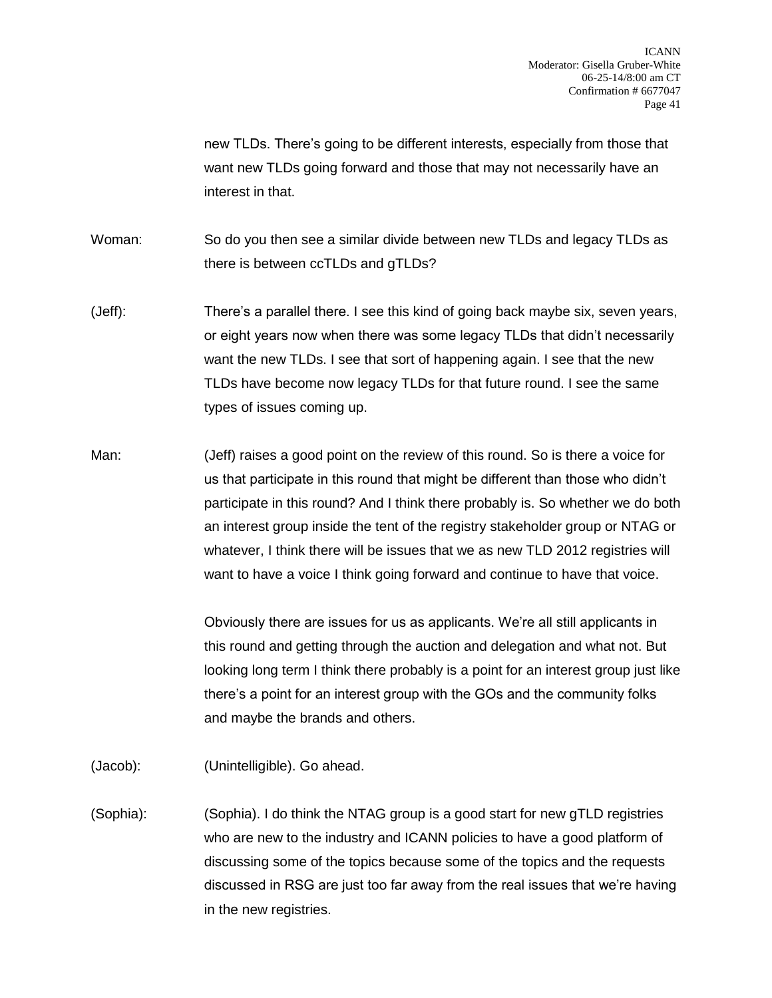new TLDs. There's going to be different interests, especially from those that want new TLDs going forward and those that may not necessarily have an interest in that.

Woman: So do you then see a similar divide between new TLDs and legacy TLDs as there is between ccTLDs and gTLDs?

- (Jeff): There's a parallel there. I see this kind of going back maybe six, seven years, or eight years now when there was some legacy TLDs that didn't necessarily want the new TLDs. I see that sort of happening again. I see that the new TLDs have become now legacy TLDs for that future round. I see the same types of issues coming up.
- Man: (Jeff) raises a good point on the review of this round. So is there a voice for us that participate in this round that might be different than those who didn't participate in this round? And I think there probably is. So whether we do both an interest group inside the tent of the registry stakeholder group or NTAG or whatever, I think there will be issues that we as new TLD 2012 registries will want to have a voice I think going forward and continue to have that voice.

Obviously there are issues for us as applicants. We're all still applicants in this round and getting through the auction and delegation and what not. But looking long term I think there probably is a point for an interest group just like there's a point for an interest group with the GOs and the community folks and maybe the brands and others.

(Jacob): (Unintelligible). Go ahead.

(Sophia): (Sophia). I do think the NTAG group is a good start for new gTLD registries who are new to the industry and ICANN policies to have a good platform of discussing some of the topics because some of the topics and the requests discussed in RSG are just too far away from the real issues that we're having in the new registries.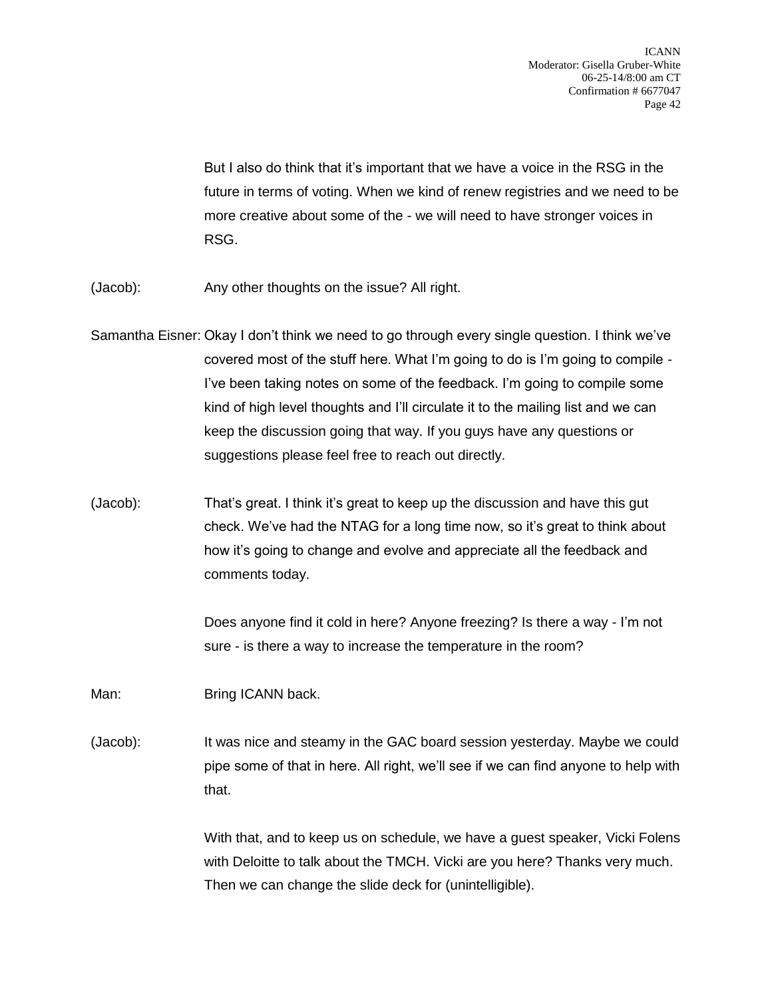But I also do think that it's important that we have a voice in the RSG in the future in terms of voting. When we kind of renew registries and we need to be more creative about some of the - we will need to have stronger voices in RSG.

- (Jacob): Any other thoughts on the issue? All right.
- Samantha Eisner: Okay I don't think we need to go through every single question. I think we've covered most of the stuff here. What I'm going to do is I'm going to compile - I've been taking notes on some of the feedback. I'm going to compile some kind of high level thoughts and I'll circulate it to the mailing list and we can keep the discussion going that way. If you guys have any questions or suggestions please feel free to reach out directly.
- (Jacob): That's great. I think it's great to keep up the discussion and have this gut check. We've had the NTAG for a long time now, so it's great to think about how it's going to change and evolve and appreciate all the feedback and comments today.

Does anyone find it cold in here? Anyone freezing? Is there a way - I'm not sure - is there a way to increase the temperature in the room?

Man: Bring ICANN back.

(Jacob): It was nice and steamy in the GAC board session yesterday. Maybe we could pipe some of that in here. All right, we'll see if we can find anyone to help with that.

> With that, and to keep us on schedule, we have a guest speaker, Vicki Folens with Deloitte to talk about the TMCH. Vicki are you here? Thanks very much. Then we can change the slide deck for (unintelligible).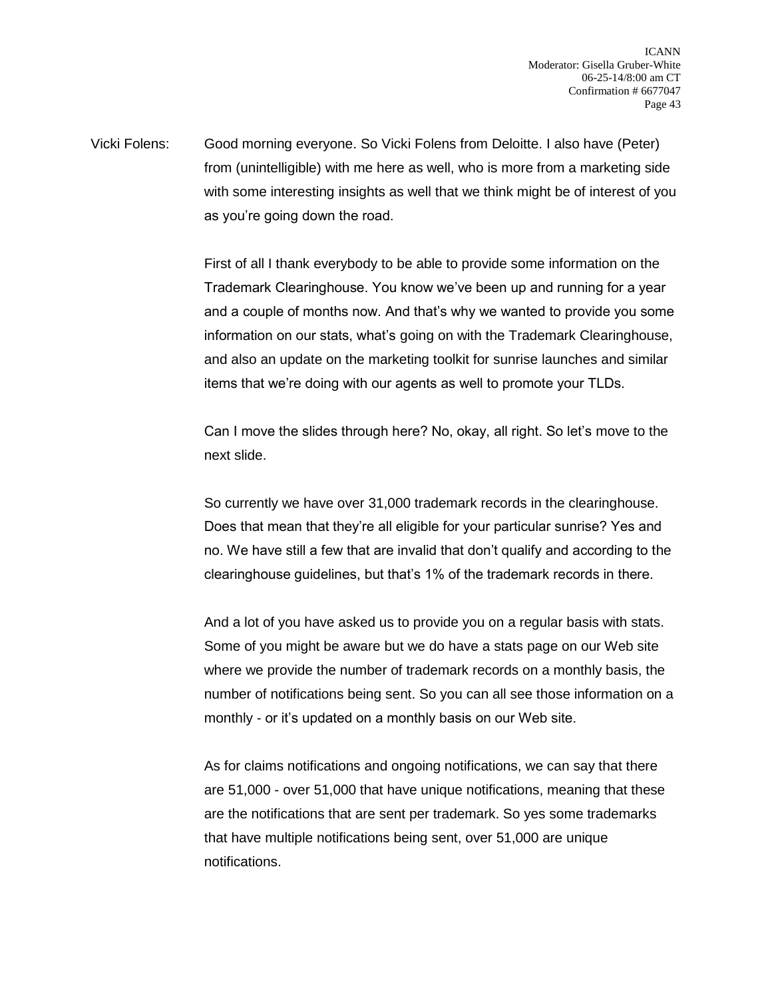Vicki Folens: Good morning everyone. So Vicki Folens from Deloitte. I also have (Peter) from (unintelligible) with me here as well, who is more from a marketing side with some interesting insights as well that we think might be of interest of you as you're going down the road.

> First of all I thank everybody to be able to provide some information on the Trademark Clearinghouse. You know we've been up and running for a year and a couple of months now. And that's why we wanted to provide you some information on our stats, what's going on with the Trademark Clearinghouse, and also an update on the marketing toolkit for sunrise launches and similar items that we're doing with our agents as well to promote your TLDs.

Can I move the slides through here? No, okay, all right. So let's move to the next slide.

So currently we have over 31,000 trademark records in the clearinghouse. Does that mean that they're all eligible for your particular sunrise? Yes and no. We have still a few that are invalid that don't qualify and according to the clearinghouse guidelines, but that's 1% of the trademark records in there.

And a lot of you have asked us to provide you on a regular basis with stats. Some of you might be aware but we do have a stats page on our Web site where we provide the number of trademark records on a monthly basis, the number of notifications being sent. So you can all see those information on a monthly - or it's updated on a monthly basis on our Web site.

As for claims notifications and ongoing notifications, we can say that there are 51,000 - over 51,000 that have unique notifications, meaning that these are the notifications that are sent per trademark. So yes some trademarks that have multiple notifications being sent, over 51,000 are unique notifications.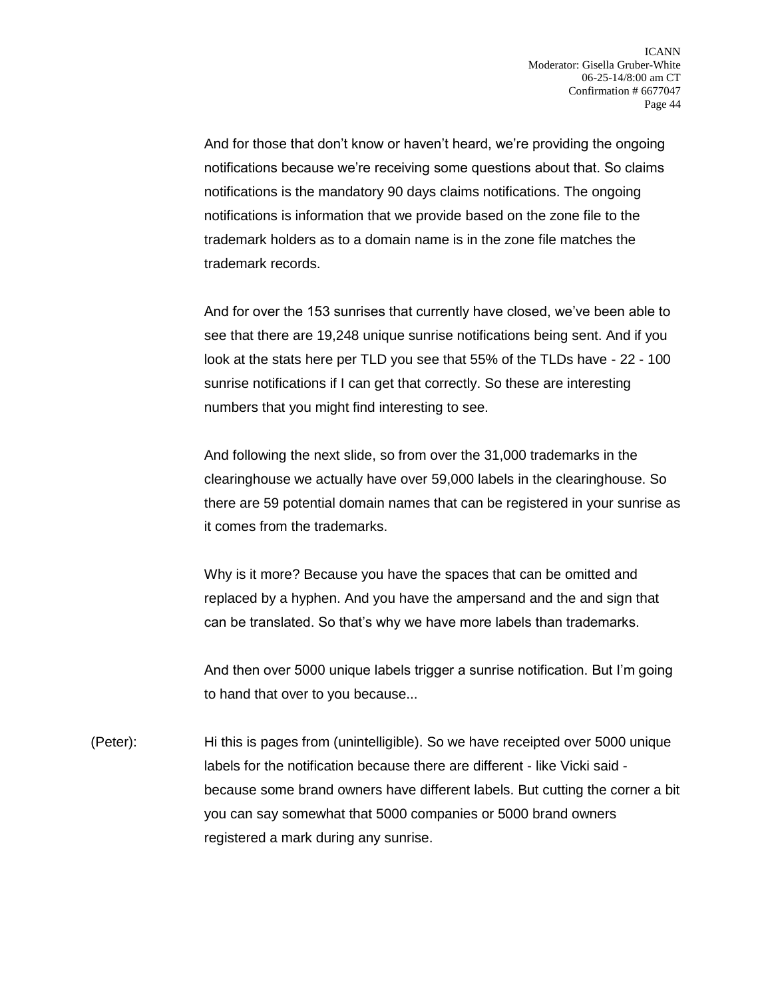And for those that don't know or haven't heard, we're providing the ongoing notifications because we're receiving some questions about that. So claims notifications is the mandatory 90 days claims notifications. The ongoing notifications is information that we provide based on the zone file to the trademark holders as to a domain name is in the zone file matches the trademark records.

And for over the 153 sunrises that currently have closed, we've been able to see that there are 19,248 unique sunrise notifications being sent. And if you look at the stats here per TLD you see that 55% of the TLDs have - 22 - 100 sunrise notifications if I can get that correctly. So these are interesting numbers that you might find interesting to see.

And following the next slide, so from over the 31,000 trademarks in the clearinghouse we actually have over 59,000 labels in the clearinghouse. So there are 59 potential domain names that can be registered in your sunrise as it comes from the trademarks.

Why is it more? Because you have the spaces that can be omitted and replaced by a hyphen. And you have the ampersand and the and sign that can be translated. So that's why we have more labels than trademarks.

And then over 5000 unique labels trigger a sunrise notification. But I'm going to hand that over to you because...

(Peter): Hi this is pages from (unintelligible). So we have receipted over 5000 unique labels for the notification because there are different - like Vicki said because some brand owners have different labels. But cutting the corner a bit you can say somewhat that 5000 companies or 5000 brand owners registered a mark during any sunrise.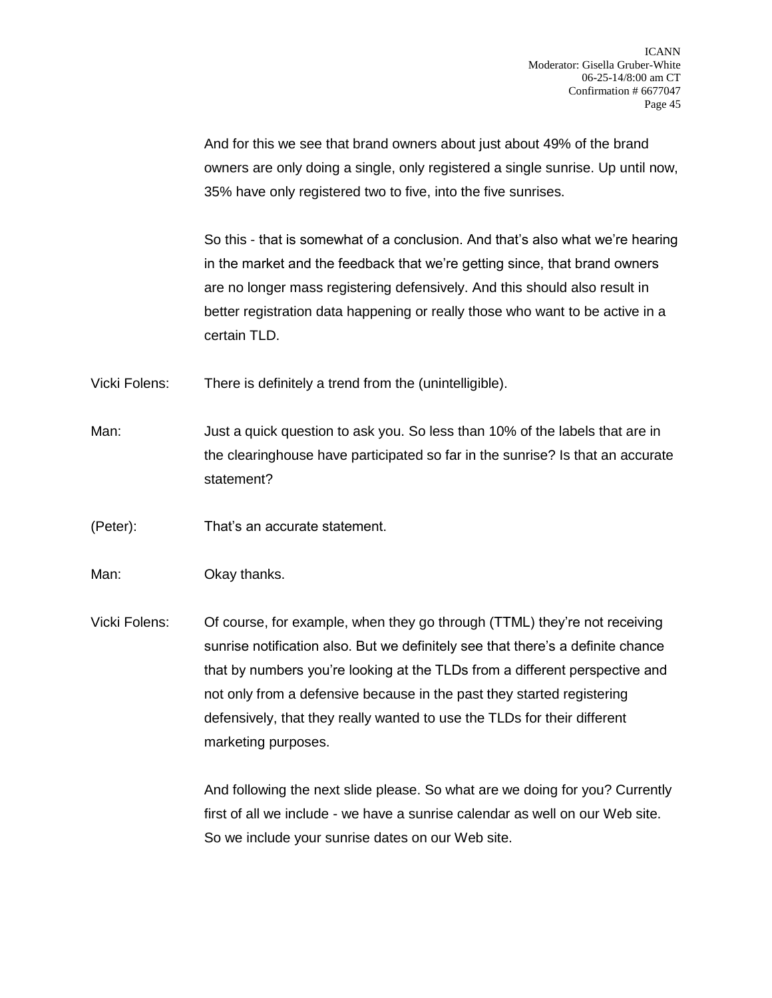And for this we see that brand owners about just about 49% of the brand owners are only doing a single, only registered a single sunrise. Up until now, 35% have only registered two to five, into the five sunrises.

So this - that is somewhat of a conclusion. And that's also what we're hearing in the market and the feedback that we're getting since, that brand owners are no longer mass registering defensively. And this should also result in better registration data happening or really those who want to be active in a certain TLD.

Vicki Folens: There is definitely a trend from the (unintelligible).

Man: Just a quick question to ask you. So less than 10% of the labels that are in the clearinghouse have participated so far in the sunrise? Is that an accurate statement?

(Peter): That's an accurate statement.

Man: **Okay thanks.** 

Vicki Folens: Of course, for example, when they go through (TTML) they're not receiving sunrise notification also. But we definitely see that there's a definite chance that by numbers you're looking at the TLDs from a different perspective and not only from a defensive because in the past they started registering defensively, that they really wanted to use the TLDs for their different marketing purposes.

> And following the next slide please. So what are we doing for you? Currently first of all we include - we have a sunrise calendar as well on our Web site. So we include your sunrise dates on our Web site.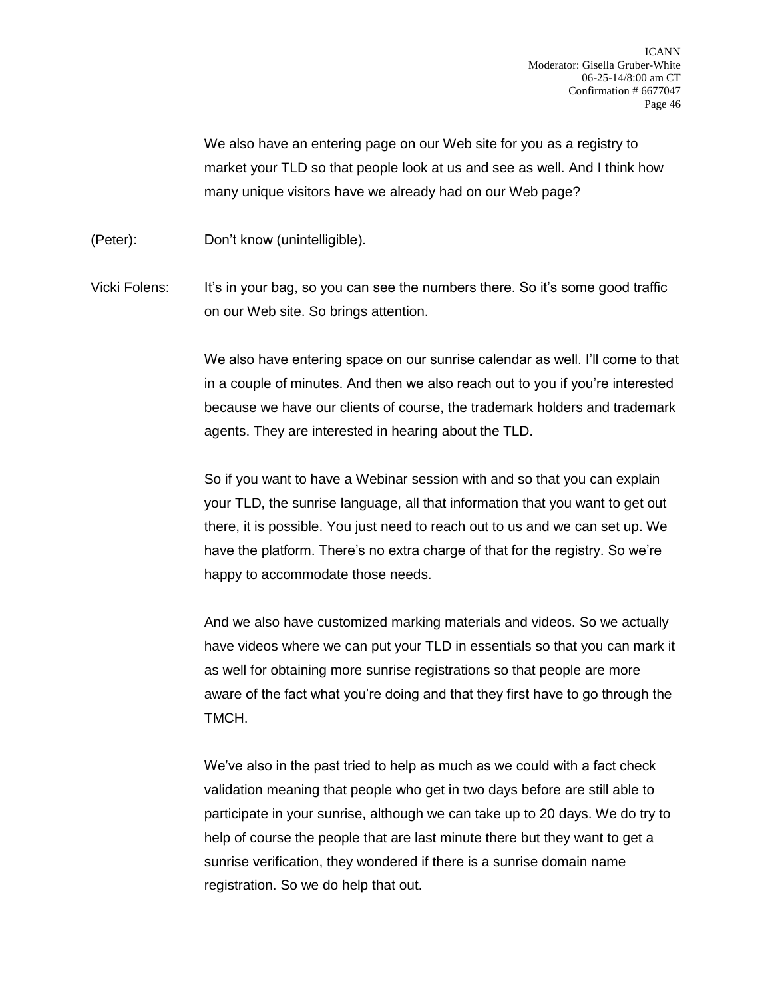We also have an entering page on our Web site for you as a registry to market your TLD so that people look at us and see as well. And I think how many unique visitors have we already had on our Web page?

(Peter): Don't know (unintelligible).

Vicki Folens: It's in your bag, so you can see the numbers there. So it's some good traffic on our Web site. So brings attention.

> We also have entering space on our sunrise calendar as well. I'll come to that in a couple of minutes. And then we also reach out to you if you're interested because we have our clients of course, the trademark holders and trademark agents. They are interested in hearing about the TLD.

So if you want to have a Webinar session with and so that you can explain your TLD, the sunrise language, all that information that you want to get out there, it is possible. You just need to reach out to us and we can set up. We have the platform. There's no extra charge of that for the registry. So we're happy to accommodate those needs.

And we also have customized marking materials and videos. So we actually have videos where we can put your TLD in essentials so that you can mark it as well for obtaining more sunrise registrations so that people are more aware of the fact what you're doing and that they first have to go through the TMCH.

We've also in the past tried to help as much as we could with a fact check validation meaning that people who get in two days before are still able to participate in your sunrise, although we can take up to 20 days. We do try to help of course the people that are last minute there but they want to get a sunrise verification, they wondered if there is a sunrise domain name registration. So we do help that out.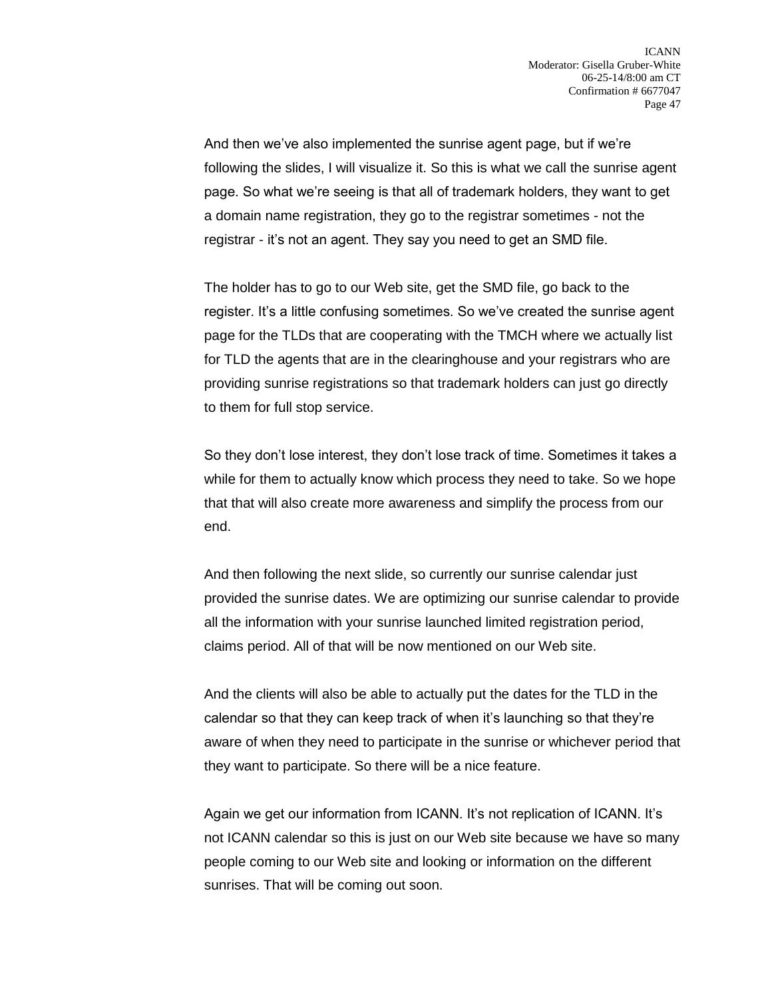And then we've also implemented the sunrise agent page, but if we're following the slides, I will visualize it. So this is what we call the sunrise agent page. So what we're seeing is that all of trademark holders, they want to get a domain name registration, they go to the registrar sometimes - not the registrar - it's not an agent. They say you need to get an SMD file.

The holder has to go to our Web site, get the SMD file, go back to the register. It's a little confusing sometimes. So we've created the sunrise agent page for the TLDs that are cooperating with the TMCH where we actually list for TLD the agents that are in the clearinghouse and your registrars who are providing sunrise registrations so that trademark holders can just go directly to them for full stop service.

So they don't lose interest, they don't lose track of time. Sometimes it takes a while for them to actually know which process they need to take. So we hope that that will also create more awareness and simplify the process from our end.

And then following the next slide, so currently our sunrise calendar just provided the sunrise dates. We are optimizing our sunrise calendar to provide all the information with your sunrise launched limited registration period, claims period. All of that will be now mentioned on our Web site.

And the clients will also be able to actually put the dates for the TLD in the calendar so that they can keep track of when it's launching so that they're aware of when they need to participate in the sunrise or whichever period that they want to participate. So there will be a nice feature.

Again we get our information from ICANN. It's not replication of ICANN. It's not ICANN calendar so this is just on our Web site because we have so many people coming to our Web site and looking or information on the different sunrises. That will be coming out soon.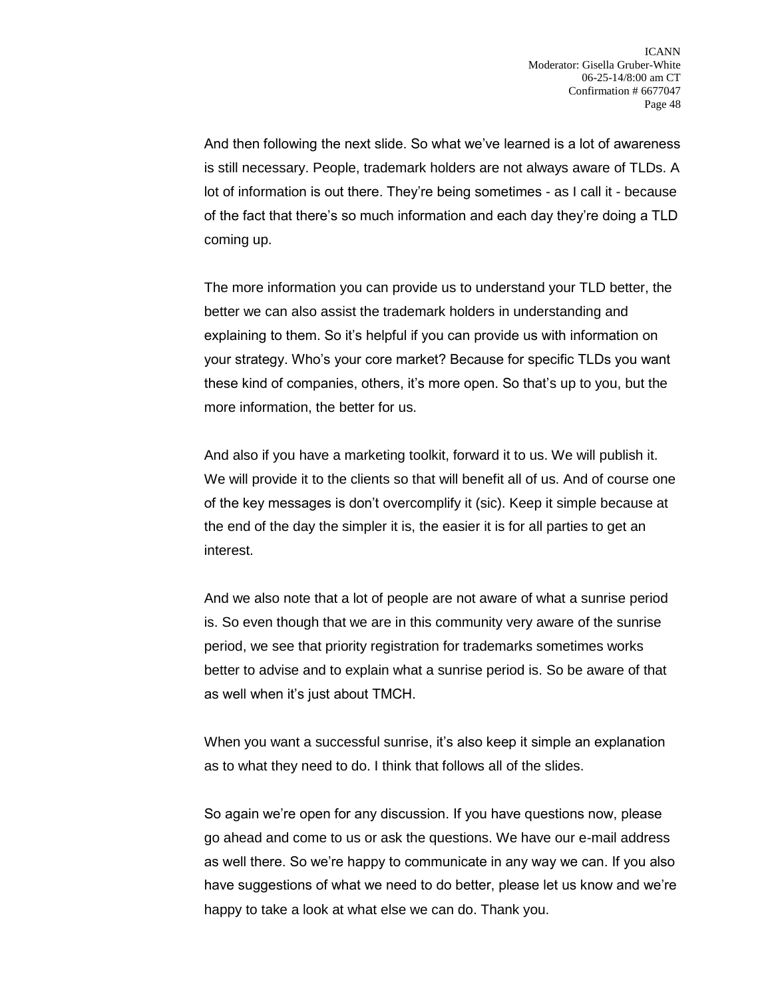And then following the next slide. So what we've learned is a lot of awareness is still necessary. People, trademark holders are not always aware of TLDs. A lot of information is out there. They're being sometimes - as I call it - because of the fact that there's so much information and each day they're doing a TLD coming up.

The more information you can provide us to understand your TLD better, the better we can also assist the trademark holders in understanding and explaining to them. So it's helpful if you can provide us with information on your strategy. Who's your core market? Because for specific TLDs you want these kind of companies, others, it's more open. So that's up to you, but the more information, the better for us.

And also if you have a marketing toolkit, forward it to us. We will publish it. We will provide it to the clients so that will benefit all of us. And of course one of the key messages is don't overcomplify it (sic). Keep it simple because at the end of the day the simpler it is, the easier it is for all parties to get an interest.

And we also note that a lot of people are not aware of what a sunrise period is. So even though that we are in this community very aware of the sunrise period, we see that priority registration for trademarks sometimes works better to advise and to explain what a sunrise period is. So be aware of that as well when it's just about TMCH.

When you want a successful sunrise, it's also keep it simple an explanation as to what they need to do. I think that follows all of the slides.

So again we're open for any discussion. If you have questions now, please go ahead and come to us or ask the questions. We have our e-mail address as well there. So we're happy to communicate in any way we can. If you also have suggestions of what we need to do better, please let us know and we're happy to take a look at what else we can do. Thank you.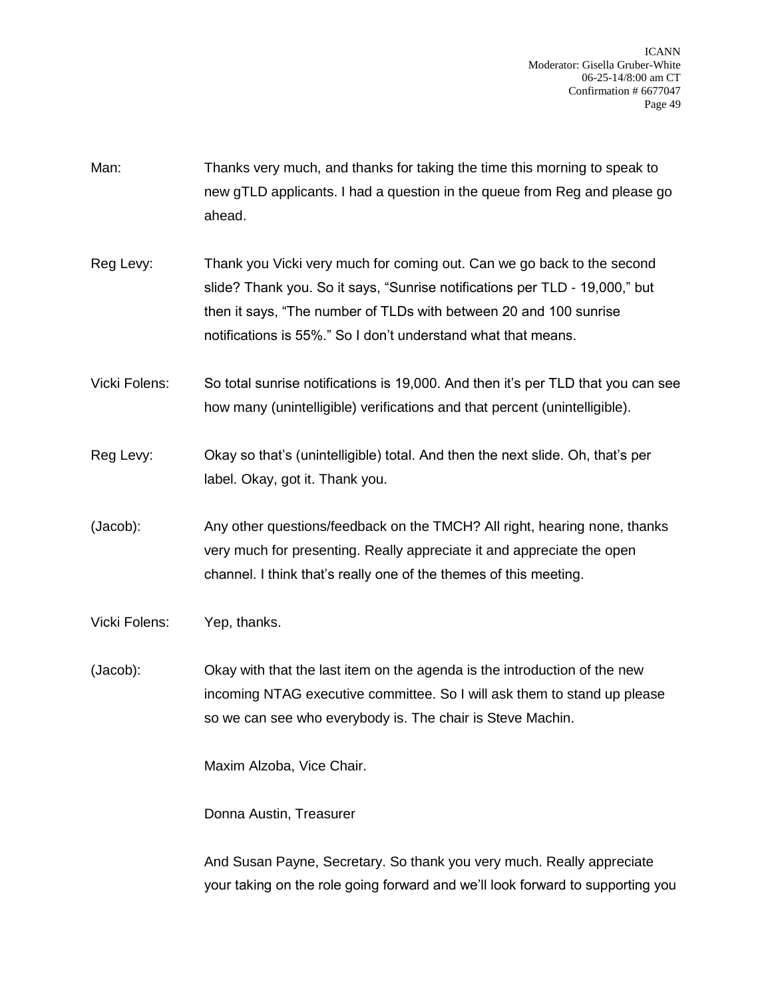- Man: Thanks very much, and thanks for taking the time this morning to speak to new gTLD applicants. I had a question in the queue from Reg and please go ahead.
- Reg Levy: Thank you Vicki very much for coming out. Can we go back to the second slide? Thank you. So it says, "Sunrise notifications per TLD - 19,000," but then it says, "The number of TLDs with between 20 and 100 sunrise notifications is 55%." So I don't understand what that means.
- Vicki Folens: So total sunrise notifications is 19,000. And then it's per TLD that you can see how many (unintelligible) verifications and that percent (unintelligible).
- Reg Levy: Okay so that's (unintelligible) total. And then the next slide. Oh, that's per label. Okay, got it. Thank you.
- (Jacob): Any other questions/feedback on the TMCH? All right, hearing none, thanks very much for presenting. Really appreciate it and appreciate the open channel. I think that's really one of the themes of this meeting.
- Vicki Folens: Yep, thanks.

(Jacob): Okay with that the last item on the agenda is the introduction of the new incoming NTAG executive committee. So I will ask them to stand up please so we can see who everybody is. The chair is Steve Machin.

Maxim Alzoba, Vice Chair.

Donna Austin, Treasurer

And Susan Payne, Secretary. So thank you very much. Really appreciate your taking on the role going forward and we'll look forward to supporting you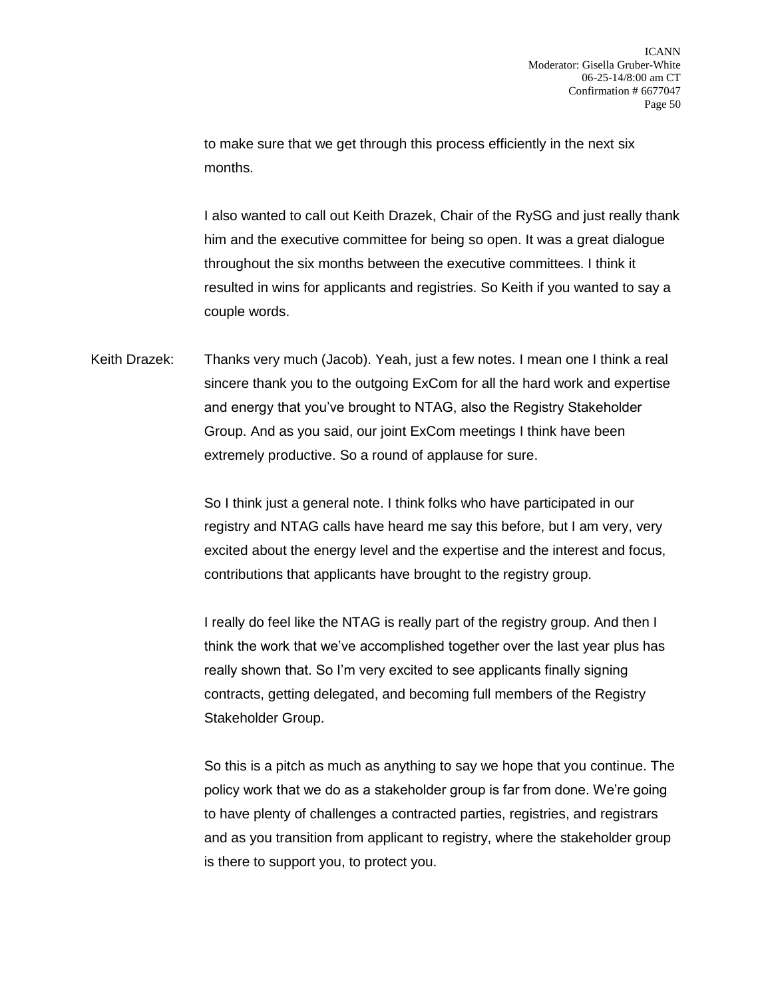to make sure that we get through this process efficiently in the next six months.

I also wanted to call out Keith Drazek, Chair of the RySG and just really thank him and the executive committee for being so open. It was a great dialogue throughout the six months between the executive committees. I think it resulted in wins for applicants and registries. So Keith if you wanted to say a couple words.

Keith Drazek: Thanks very much (Jacob). Yeah, just a few notes. I mean one I think a real sincere thank you to the outgoing ExCom for all the hard work and expertise and energy that you've brought to NTAG, also the Registry Stakeholder Group. And as you said, our joint ExCom meetings I think have been extremely productive. So a round of applause for sure.

> So I think just a general note. I think folks who have participated in our registry and NTAG calls have heard me say this before, but I am very, very excited about the energy level and the expertise and the interest and focus, contributions that applicants have brought to the registry group.

> I really do feel like the NTAG is really part of the registry group. And then I think the work that we've accomplished together over the last year plus has really shown that. So I'm very excited to see applicants finally signing contracts, getting delegated, and becoming full members of the Registry Stakeholder Group.

So this is a pitch as much as anything to say we hope that you continue. The policy work that we do as a stakeholder group is far from done. We're going to have plenty of challenges a contracted parties, registries, and registrars and as you transition from applicant to registry, where the stakeholder group is there to support you, to protect you.